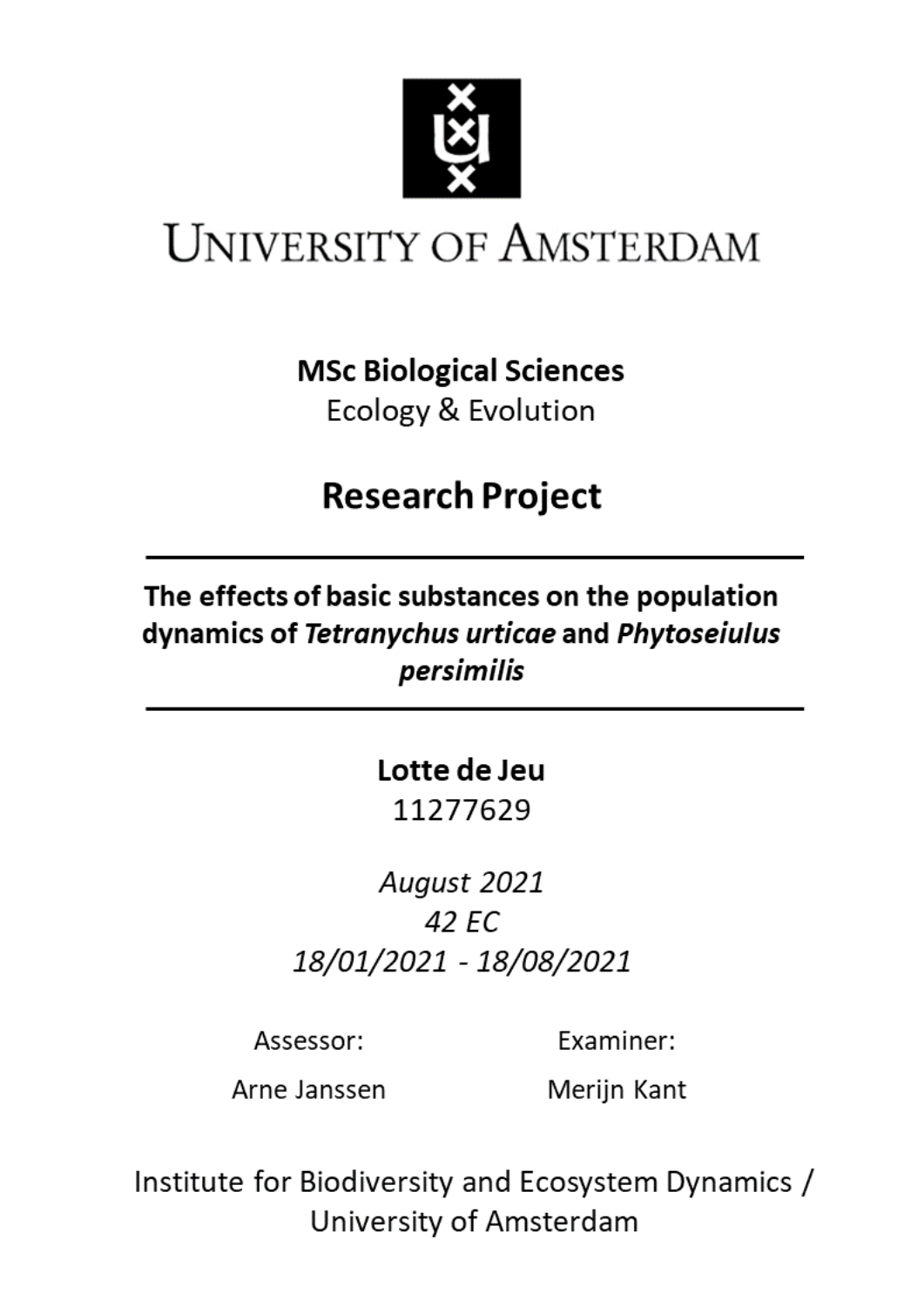

# **UNIVERSITY OF AMSTERDAM**

**MSc Biological Sciences** 

Ecology & Evolution

# **Research Project**

The effects of basic substances on the population dynamics of Tetranychus urticae and Phytoseiulus persimilis

# Lotte de Jeu

11277629

August 2021 42 EC 18/01/2021 - 18/08/2021

Assessor:

Examiner:

Arne Janssen

Merijn Kant

Institute for Biodiversity and Ecosystem Dynamics / University of Amsterdam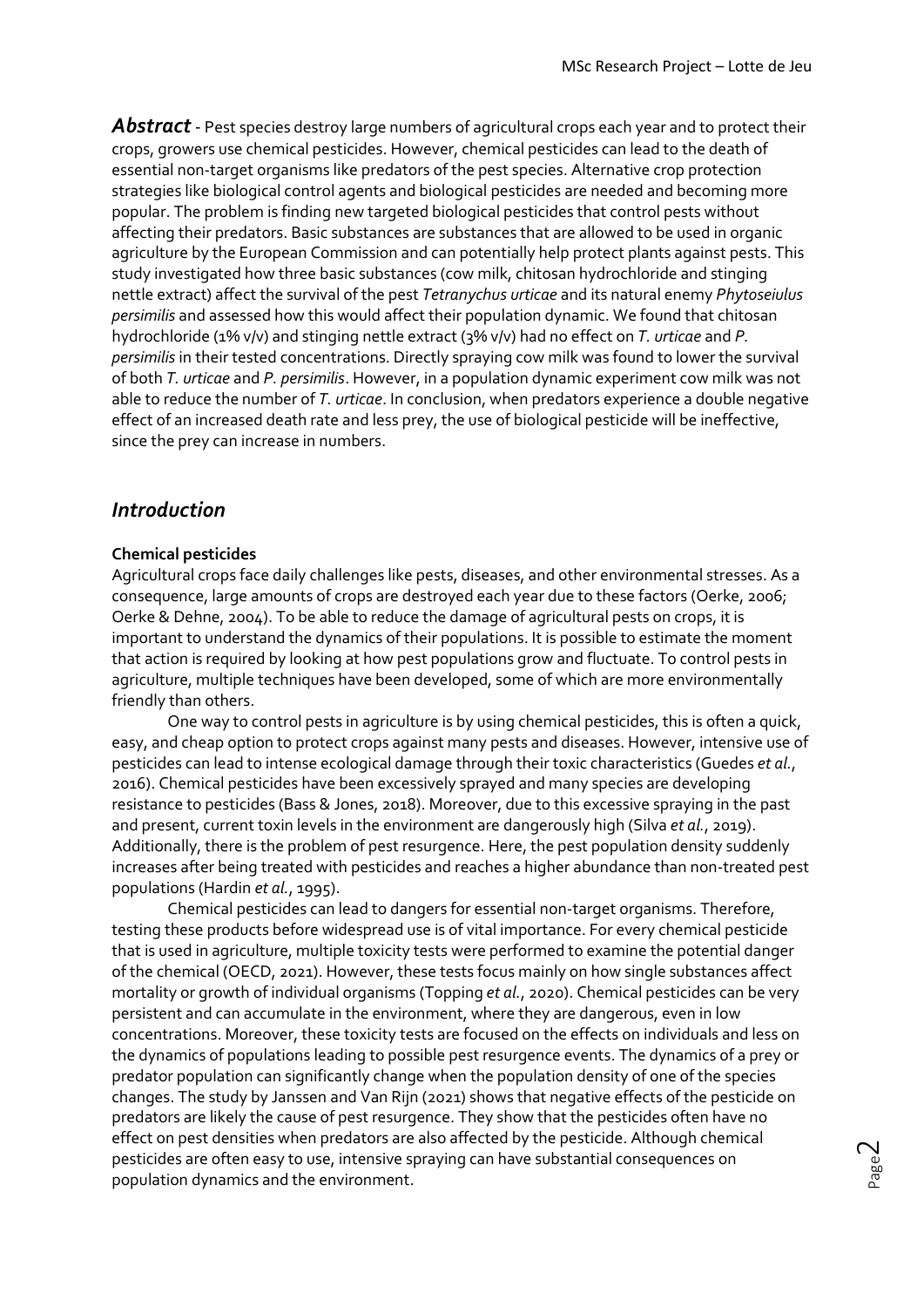Abstract - Pest species destroy large numbers of agricultural crops each year and to protect their crops, growers use chemical pesticides. However, chemical pesticides can lead to the death of essential non-target organisms like predators of the pest species. Alternative crop protection strategies like biological control agents and biological pesticides are needed and becoming more popular. The problem is finding new targeted biological pesticides that control pests without affecting their predators. Basic substances are substances that are allowed to be used in organic agriculture by the European Commission and can potentially help protect plants against pests. This study investigated how three basic substances (cow milk, chitosan hydrochloride and stinging nettle extract) affect the survival of the pest *Tetranychus urticae* and its natural enemy *Phytoseiulus persimilis* and assessed how this would affect their population dynamic. We found that chitosan hydrochloride (1% v/v) and stinging nettle extract (3% v/v) had no effect on *T. urticae* and *P. persimilis* in their tested concentrations. Directly spraying cow milk was found to lower the survival of both *T. urticae* and *P. persimilis*. However, in a population dynamic experiment cow milk was not able to reduce the number of *T. urticae*. In conclusion, when predators experience a double negative effect of an increased death rate and less prey, the use of biological pesticide will be ineffective, since the prey can increase in numbers.

## *Introduction*

## **Chemical pesticides**

Agricultural crops face daily challenges like pests, diseases, and other environmental stresses. As a consequence, large amounts of crops are destroyed each year due to these factors (Oerke, 2006; Oerke & Dehne, 2004). To be able to reduce the damage of agricultural pests on crops, it is important to understand the dynamics of their populations. It is possible to estimate the moment that action is required by looking at how pest populations grow and fluctuate. To control pests in agriculture, multiple techniques have been developed, some of which are more environmentally friendly than others.

One way to control pests in agriculture is by using chemical pesticides, this is often a quick, easy, and cheap option to protect crops against many pests and diseases. However, intensive use of pesticides can lead to intense ecological damage through their toxic characteristics (Guedes *et al.*, 2016). Chemical pesticides have been excessively sprayed and many species are developing resistance to pesticides (Bass & Jones, 2018). Moreover, due to this excessive spraying in the past and present, current toxin levels in the environment are dangerously high (Silva *et al.*, 2019). Additionally, there is the problem of pest resurgence. Here, the pest population density suddenly increases after being treated with pesticides and reaches a higher abundance than non-treated pest populations (Hardin *et al.*, 1995).

Chemical pesticides can lead to dangers for essential non-target organisms. Therefore, testing these products before widespread use is of vital importance. For every chemical pesticide that is used in agriculture, multiple toxicity tests were performed to examine the potential danger of the chemical (OECD, 2021). However, these tests focus mainly on how single substances affect mortality or growth of individual organisms (Topping *et al.*, 2020). Chemical pesticides can be very persistent and can accumulate in the environment, where they are dangerous, even in low concentrations. Moreover, these toxicity tests are focused on the effects on individuals and less on the dynamics of populations leading to possible pest resurgence events. The dynamics of a prey or predator population can significantly change when the population density of one of the species changes. The study by Janssen and Van Rijn (2021) shows that negative effects of the pesticide on predators are likely the cause of pest resurgence. They show that the pesticides often have no effect on pest densities when predators are also affected by the pesticide. Although chemical pesticides are often easy to use, intensive spraying can have substantial consequences on population dynamics and the environment.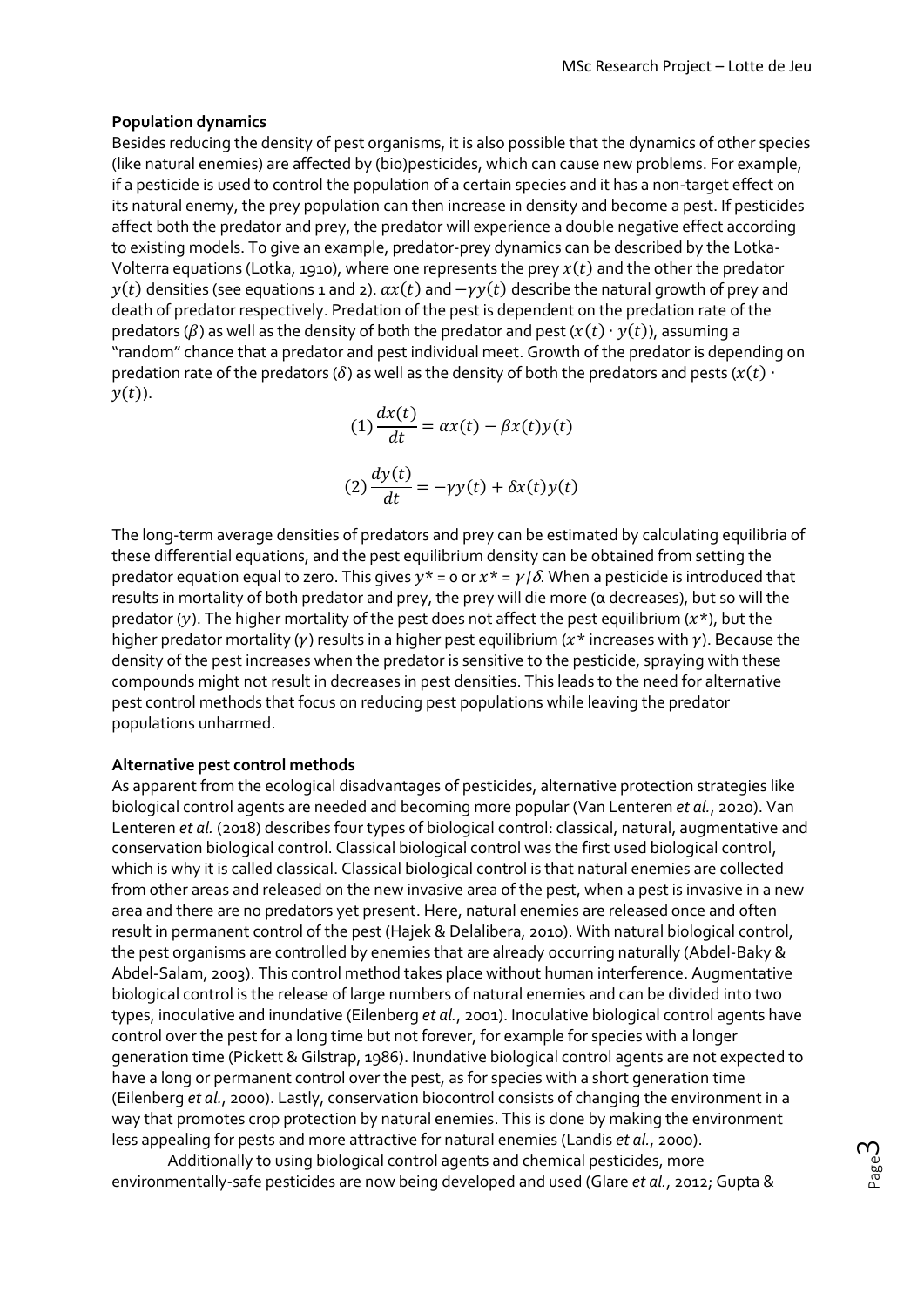## **Population dynamics**

Besides reducing the density of pest organisms, it is also possible that the dynamics of other species (like natural enemies) are affected by (bio)pesticides, which can cause new problems. For example, if a pesticide is used to control the population of a certain species and it has a non-target effect on its natural enemy, the prey population can then increase in density and become a pest. If pesticides affect both the predator and prey, the predator will experience a double negative effect according to existing models. To give an example, predator-prey dynamics can be described by the Lotka-Volterra equations (Lotka, 1910), where one represents the prey  $x(t)$  and the other the predator  $y(t)$  densities (see equations 1 and 2).  $ax(t)$  and  $-yy(t)$  describe the natural growth of prey and death of predator respectively. Predation of the pest is dependent on the predation rate of the predators ( $\beta$ ) as well as the density of both the predator and pest ( $x(t) \cdot y(t)$ ), assuming a "random" chance that a predator and pest individual meet. Growth of the predator is depending on predation rate of the predators ( $\delta$ ) as well as the density of both the predators and pests ( $x(t)$  ∙  $y(t)$ ).

$$
(1)\frac{dx(t)}{dt} = \alpha x(t) - \beta x(t)y(t)
$$

$$
(2)\frac{dy(t)}{dt} = -\gamma y(t) + \delta x(t)y(t)
$$

The long-term average densities of predators and prey can be estimated by calculating equilibria of these differential equations, and the pest equilibrium density can be obtained from setting the predator equation equal to zero. This gives  $y^* = o$  or  $x^* = \gamma/\delta$ . When a pesticide is introduced that results in mortality of both predator and prey, the prey will die more (α decreases), but so will the predator (y). The higher mortality of the pest does not affect the pest equilibrium ( $x^*$ ), but the higher predator mortality ( $\gamma$ ) results in a higher pest equilibrium ( $x^*$  increases with  $\gamma$ ). Because the density of the pest increases when the predator is sensitive to the pesticide, spraying with these compounds might not result in decreases in pest densities. This leads to the need for alternative pest control methods that focus on reducing pest populations while leaving the predator populations unharmed.

## **Alternative pest control methods**

As apparent from the ecological disadvantages of pesticides, alternative protection strategies like biological control agents are needed and becoming more popular (Van Lenteren *et al.*, 2020). Van Lenteren *et al.* (2018) describes four types of biological control: classical, natural, augmentative and conservation biological control. Classical biological control was the first used biological control, which is why it is called classical. Classical biological control is that natural enemies are collected from other areas and released on the new invasive area of the pest, when a pest is invasive in a new area and there are no predators yet present. Here, natural enemies are released once and often result in permanent control of the pest (Hajek & Delalibera, 2010). With natural biological control, the pest organisms are controlled by enemies that are already occurring naturally (Abdel-Baky & Abdel-Salam, 2003). This control method takes place without human interference. Augmentative biological control is the release of large numbers of natural enemies and can be divided into two types, inoculative and inundative (Eilenberg *et al.*, 2001). Inoculative biological control agents have control over the pest for a long time but not forever, for example for species with a longer generation time (Pickett & Gilstrap, 1986). Inundative biological control agents are not expected to have a long or permanent control over the pest, as for species with a short generation time (Eilenberg *et al.*, 2000). Lastly, conservation biocontrol consists of changing the environment in a way that promotes crop protection by natural enemies. This is done by making the environment less appealing for pests and more attractive for natural enemies (Landis *et al.*, 2000).

Additionally to using biological control agents and chemical pesticides, more environmentally-safe pesticides are now being developed and used (Glare *et al.*, 2012; Gupta &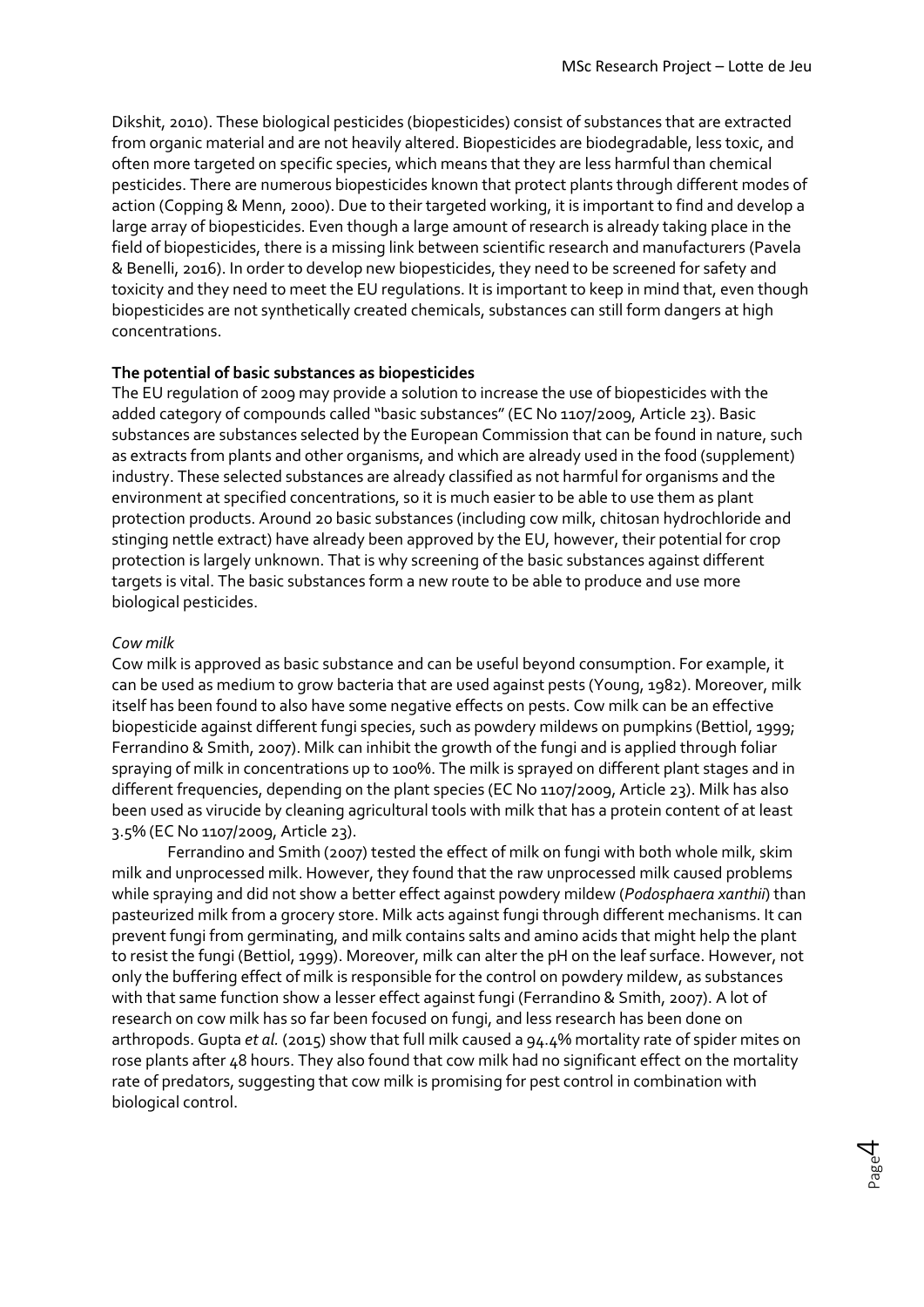Dikshit, 2010). These biological pesticides (biopesticides) consist of substances that are extracted from organic material and are not heavily altered. Biopesticides are biodegradable, less toxic, and often more targeted on specific species, which means that they are less harmful than chemical pesticides. There are numerous biopesticides known that protect plants through different modes of action (Copping & Menn, 2000). Due to their targeted working, it is important to find and develop a large array of biopesticides. Even though a large amount of research is already taking place in the field of biopesticides, there is a missing link between scientific research and manufacturers (Pavela & Benelli, 2016). In order to develop new biopesticides, they need to be screened for safety and toxicity and they need to meet the EU regulations. It is important to keep in mind that, even though biopesticides are not synthetically created chemicals, substances can still form dangers at high concentrations.

## **The potential of basic substances as biopesticides**

The EU regulation of 2009 may provide a solution to increase the use of biopesticides with the added category of compounds called "basic substances" (EC No 1107/2009, Article 23). Basic substances are substances selected by the European Commission that can be found in nature, such as extracts from plants and other organisms, and which are already used in the food (supplement) industry. These selected substances are already classified as not harmful for organisms and the environment at specified concentrations, so it is much easier to be able to use them as plant protection products. Around 20 basic substances (including cow milk, chitosan hydrochloride and stinging nettle extract) have already been approved by the EU, however, their potential for crop protection is largely unknown. That is why screening of the basic substances against different targets is vital. The basic substances form a new route to be able to produce and use more biological pesticides.

## *Cow milk*

Cow milk is approved as basic substance and can be useful beyond consumption. For example, it can be used as medium to grow bacteria that are used against pests (Young, 1982). Moreover, milk itself has been found to also have some negative effects on pests. Cow milk can be an effective biopesticide against different fungi species, such as powdery mildews on pumpkins (Bettiol, 1999; Ferrandino & Smith, 2007). Milk can inhibit the growth of the fungi and is applied through foliar spraying of milk in concentrations up to 100%. The milk is sprayed on different plant stages and in different frequencies, depending on the plant species (EC No 1107/2009, Article 23). Milk has also been used as virucide by cleaning agricultural tools with milk that has a protein content of at least 3.5% (EC No 1107/2009, Article 23).

Ferrandino and Smith (2007) tested the effect of milk on fungi with both whole milk, skim milk and unprocessed milk. However, they found that the raw unprocessed milk caused problems while spraying and did not show a better effect against powdery mildew (*Podosphaera xanthii*) than pasteurized milk from a grocery store. Milk acts against fungi through different mechanisms. It can prevent fungi from germinating, and milk contains salts and amino acids that might help the plant to resist the fungi (Bettiol, 1999). Moreover, milk can alter the pH on the leaf surface. However, not only the buffering effect of milk is responsible for the control on powdery mildew, as substances with that same function show a lesser effect against fungi (Ferrandino & Smith, 2007). A lot of research on cow milk has so far been focused on fungi, and less research has been done on arthropods. Gupta *et al.* (2015) show that full milk caused a 94.4% mortality rate of spider mites on rose plants after 48 hours. They also found that cow milk had no significant effect on the mortality rate of predators, suggesting that cow milk is promising for pest control in combination with biological control.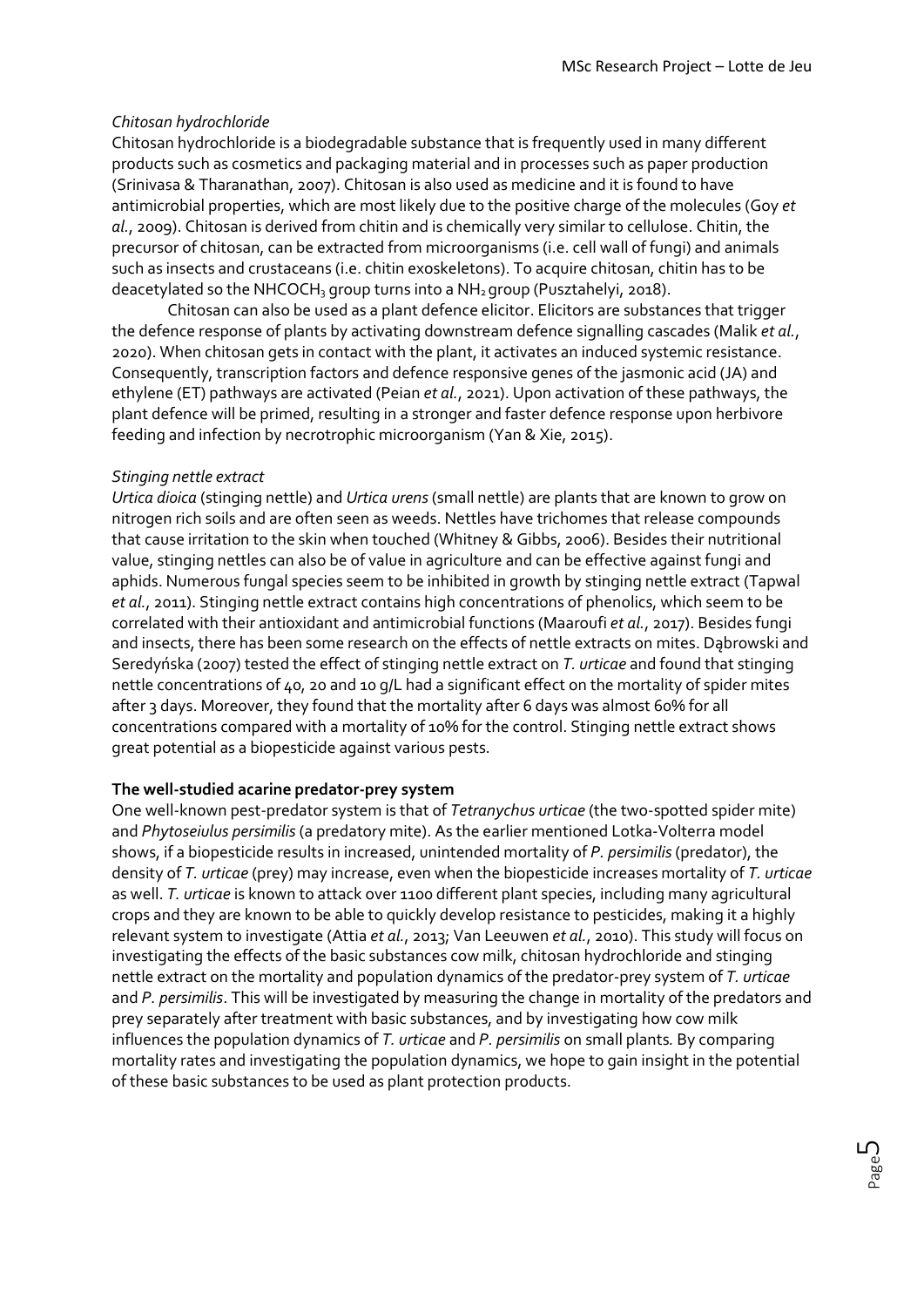## *Chitosan hydrochloride*

Chitosan hydrochloride is a biodegradable substance that is frequently used in many different products such as cosmetics and packaging material and in processes such as paper production (Srinivasa & Tharanathan, 2007). Chitosan is also used as medicine and it is found to have antimicrobial properties, which are most likely due to the positive charge of the molecules (Goy *et al.*, 2009). Chitosan is derived from chitin and is chemically very similar to cellulose. Chitin, the precursor of chitosan, can be extracted from microorganisms (i.e. cell wall of fungi) and animals such as insects and crustaceans (i.e. chitin exoskeletons). To acquire chitosan, chitin has to be deacetylated so the NHCOCH<sub>3</sub> group turns into a NH<sub>2</sub> group (Pusztahelyi, 2018).

Chitosan can also be used as a plant defence elicitor. Elicitors are substances that trigger the defence response of plants by activating downstream defence signalling cascades (Malik *et al.*, 2020). When chitosan gets in contact with the plant, it activates an induced systemic resistance. Consequently, transcription factors and defence responsive genes of the jasmonic acid (JA) and ethylene (ET) pathways are activated (Peian *et al.*, 2021). Upon activation of these pathways, the plant defence will be primed, resulting in a stronger and faster defence response upon herbivore feeding and infection by necrotrophic microorganism (Yan & Xie, 2015).

## *Stinging nettle extract*

*Urtica dioica* (stinging nettle) and *Urtica urens*(small nettle) are plants that are known to grow on nitrogen rich soils and are often seen as weeds. Nettles have trichomes that release compounds that cause irritation to the skin when touched (Whitney & Gibbs, 2006). Besides their nutritional value, stinging nettles can also be of value in agriculture and can be effective against fungi and aphids. Numerous fungal species seem to be inhibited in growth by stinging nettle extract (Tapwal *et al.*, 2011). Stinging nettle extract contains high concentrations of phenolics, which seem to be correlated with their antioxidant and antimicrobial functions (Maaroufi *et al.*, 2017). Besides fungi and insects, there has been some research on the effects of nettle extracts on mites. Dąbrowski and Seredyńska (2007) tested the effect of stinging nettle extract on *T. urticae* and found that stinging nettle concentrations of 40, 20 and 10 g/L had a significant effect on the mortality of spider mites after 3 days. Moreover, they found that the mortality after 6 days was almost 60% for all concentrations compared with a mortality of 10% for the control. Stinging nettle extract shows great potential as a biopesticide against various pests.

## **The well-studied acarine predator-prey system**

One well-known pest-predator system is that of *Tetranychus urticae* (the two-spotted spider mite) and *Phytoseiulus persimilis* (a predatory mite). As the earlier mentioned Lotka-Volterra model shows, if a biopesticide results in increased, unintended mortality of *P. persimilis*(predator), the density of *T. urticae* (prey) may increase, even when the biopesticide increases mortality of *T. urticae* as well. *T. urticae* is known to attack over 1100 different plant species, including many agricultural crops and they are known to be able to quickly develop resistance to pesticides, making it a highly relevant system to investigate (Attia *et al.*, 2013; Van Leeuwen *et al.*, 2010). This study will focus on investigating the effects of the basic substances cow milk, chitosan hydrochloride and stinging nettle extract on the mortality and population dynamics of the predator-prey system of *T. urticae*  and *P. persimilis*. This will be investigated by measuring the change in mortality of the predators and prey separately after treatment with basic substances, and by investigating how cow milk influences the population dynamics of *T. urticae* and *P. persimilis* on small plants*.* By comparing mortality rates and investigating the population dynamics, we hope to gain insight in the potential of these basic substances to be used as plant protection products.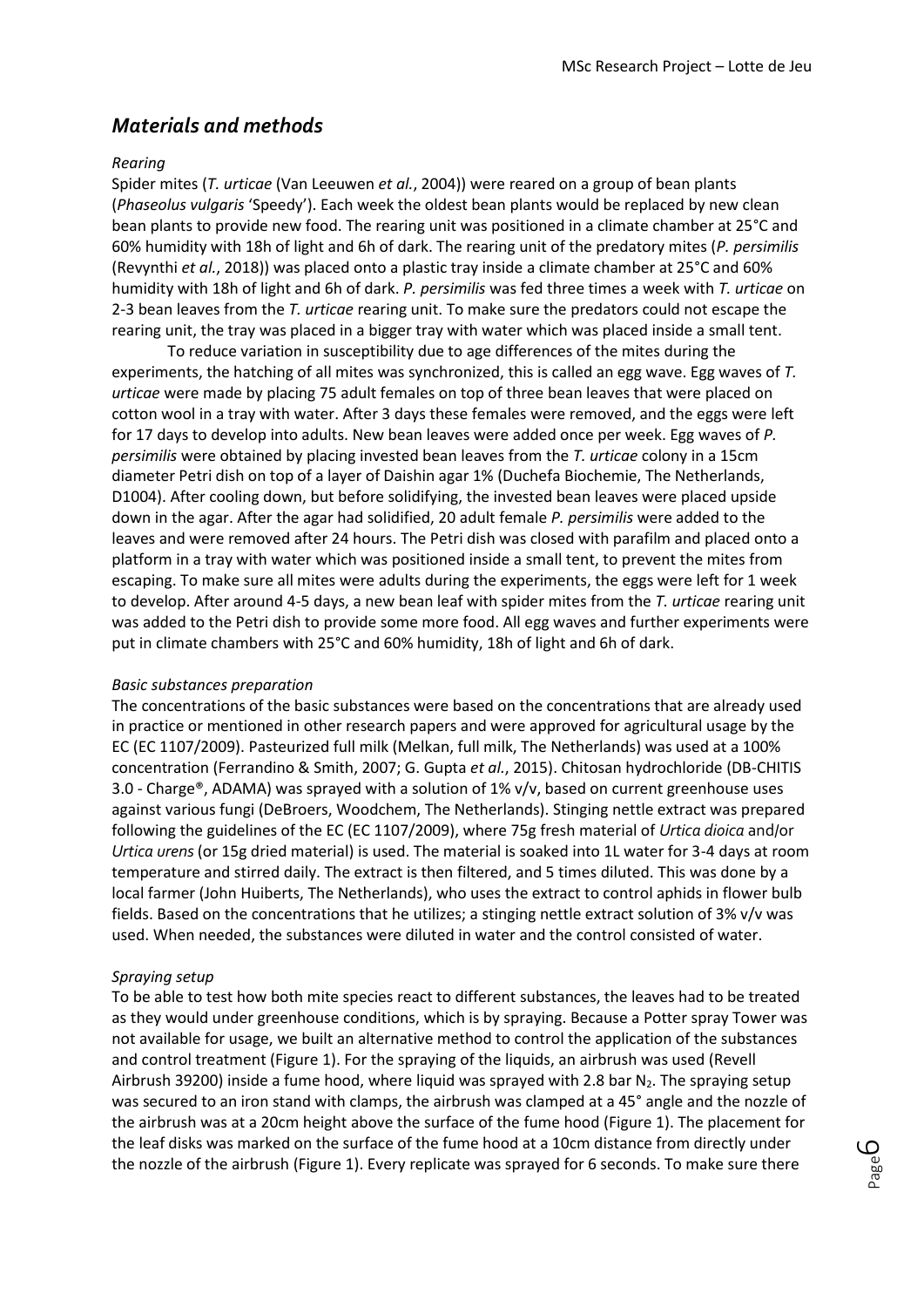## *Materials and methods*

## *Rearing*

Spider mites (*T. urticae* (Van Leeuwen *et al.*, 2004)) were reared on a group of bean plants (*Phaseolus vulgaris* 'Speedy'). Each week the oldest bean plants would be replaced by new clean bean plants to provide new food. The rearing unit was positioned in a climate chamber at 25°C and 60% humidity with 18h of light and 6h of dark. The rearing unit of the predatory mites (*P. persimilis* (Revynthi *et al.*, 2018)) was placed onto a plastic tray inside a climate chamber at 25°C and 60% humidity with 18h of light and 6h of dark. *P. persimilis* was fed three times a week with *T. urticae* on 2-3 bean leaves from the *T. urticae* rearing unit. To make sure the predators could not escape the rearing unit, the tray was placed in a bigger tray with water which was placed inside a small tent.

To reduce variation in susceptibility due to age differences of the mites during the experiments, the hatching of all mites was synchronized, this is called an egg wave. Egg waves of *T. urticae* were made by placing 75 adult females on top of three bean leaves that were placed on cotton wool in a tray with water. After 3 days these females were removed, and the eggs were left for 17 days to develop into adults. New bean leaves were added once per week. Egg waves of *P. persimilis* were obtained by placing invested bean leaves from the *T. urticae* colony in a 15cm diameter Petri dish on top of a layer of Daishin agar 1% (Duchefa Biochemie, The Netherlands, D1004). After cooling down, but before solidifying, the invested bean leaves were placed upside down in the agar. After the agar had solidified, 20 adult female *P. persimilis* were added to the leaves and were removed after 24 hours. The Petri dish was closed with parafilm and placed onto a platform in a tray with water which was positioned inside a small tent, to prevent the mites from escaping. To make sure all mites were adults during the experiments, the eggs were left for 1 week to develop. After around 4-5 days, a new bean leaf with spider mites from the *T. urticae* rearing unit was added to the Petri dish to provide some more food. All egg waves and further experiments were put in climate chambers with 25°C and 60% humidity, 18h of light and 6h of dark.

#### *Basic substances preparation*

The concentrations of the basic substances were based on the concentrations that are already used in practice or mentioned in other research papers and were approved for agricultural usage by the EC (EC 1107/2009). Pasteurized full milk (Melkan, full milk, The Netherlands) was used at a 100% concentration (Ferrandino & Smith, 2007; G. Gupta *et al.*, 2015). Chitosan hydrochloride (DB-CHITIS 3.0 - Charge®, ADAMA) was sprayed with a solution of 1% v/v, based on current greenhouse uses against various fungi (DeBroers, Woodchem, The Netherlands). Stinging nettle extract was prepared following the guidelines of the EC (EC 1107/2009), where 75g fresh material of *Urtica dioica* and/or *Urtica urens* (or 15g dried material) is used. The material is soaked into 1L water for 3-4 days at room temperature and stirred daily. The extract is then filtered, and 5 times diluted. This was done by a local farmer (John Huiberts, The Netherlands), who uses the extract to control aphids in flower bulb fields. Based on the concentrations that he utilizes; a stinging nettle extract solution of 3% v/v was used. When needed, the substances were diluted in water and the control consisted of water.

## *Spraying setup*

To be able to test how both mite species react to different substances, the leaves had to be treated as they would under greenhouse conditions, which is by spraying. Because a Potter spray Tower was not available for usage, we built an alternative method to control the application of the substances and control treatment (Figure 1). For the spraying of the liquids, an airbrush was used (Revell Airbrush 39200) inside a fume hood, where liquid was sprayed with 2.8 bar  $N_2$ . The spraying setup was secured to an iron stand with clamps, the airbrush was clamped at a 45° angle and the nozzle of the airbrush was at a 20cm height above the surface of the fume hood (Figure 1). The placement for the leaf disks was marked on the surface of the fume hood at a 10cm distance from directly under the nozzle of the airbrush (Figure 1). Every replicate was sprayed for 6 seconds. To make sure there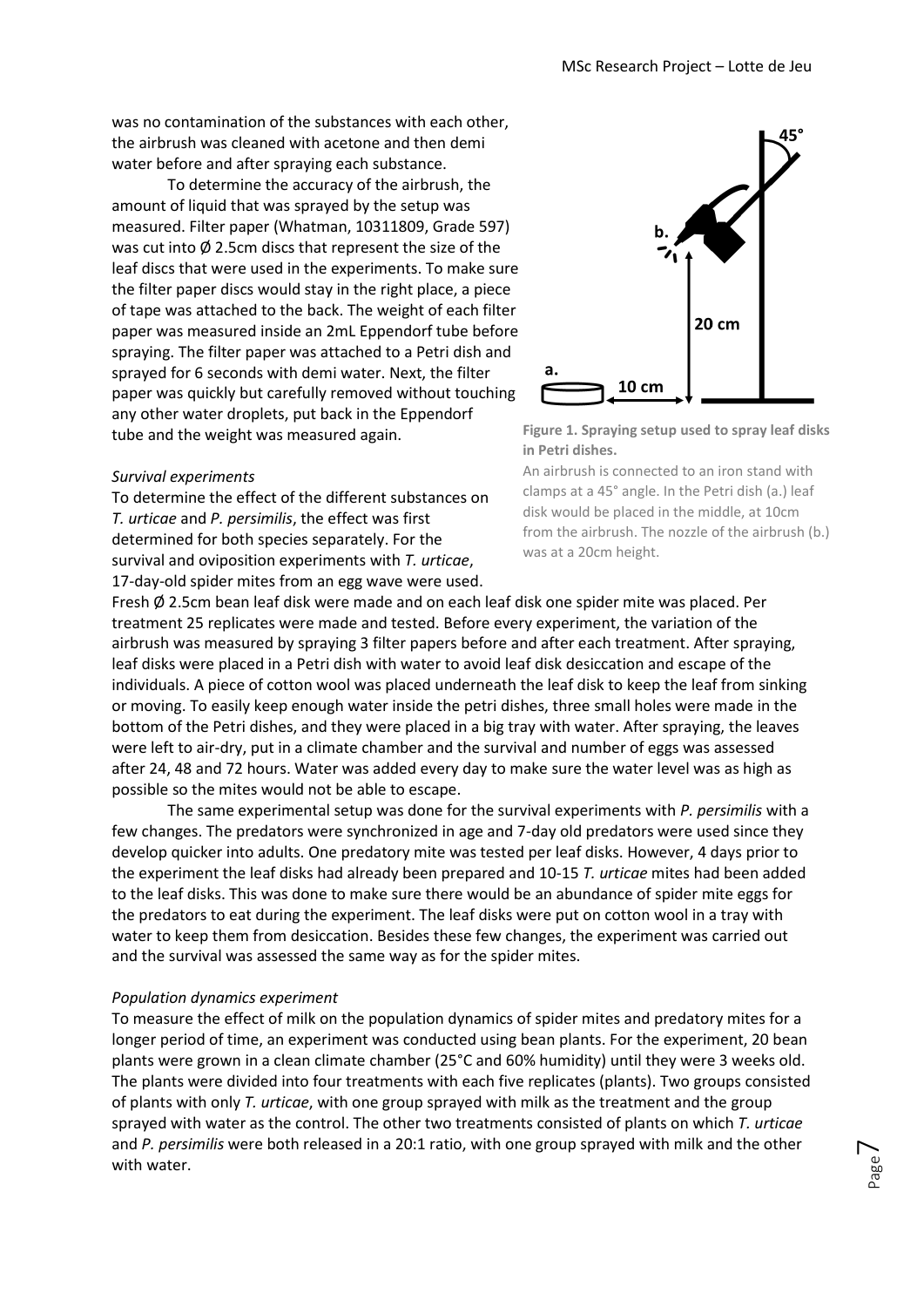was no contamination of the substances with each other, the airbrush was cleaned with acetone and then demi water before and after spraying each substance.

To determine the accuracy of the airbrush, the amount of liquid that was sprayed by the setup was measured. Filter paper (Whatman, 10311809, Grade 597) was cut into Ø 2.5cm discs that represent the size of the leaf discs that were used in the experiments. To make sure the filter paper discs would stay in the right place, a piece of tape was attached to the back. The weight of each filter paper was measured inside an 2mL Eppendorf tube before spraying. The filter paper was attached to a Petri dish and sprayed for 6 seconds with demi water. Next, the filter paper was quickly but carefully removed without touching any other water droplets, put back in the Eppendorf tube and the weight was measured again.

#### *Survival experiments*

To determine the effect of the different substances on *T. urticae* and *P. persimilis*, the effect was first determined for both species separately. For the survival and oviposition experiments with *T. urticae*, 17-day-old spider mites from an egg wave were used.





An airbrush is connected to an iron stand with clamps at a 45° angle. In the Petri dish (a.) leaf disk would be placed in the middle, at 10cm from the airbrush. The nozzle of the airbrush (b.) was at a 20cm height.

Fresh  $\emptyset$  2.5cm bean leaf disk were made and on each leaf disk one spider mite was placed. Per treatment 25 replicates were made and tested. Before every experiment, the variation of the airbrush was measured by spraying 3 filter papers before and after each treatment. After spraying, leaf disks were placed in a Petri dish with water to avoid leaf disk desiccation and escape of the individuals. A piece of cotton wool was placed underneath the leaf disk to keep the leaf from sinking or moving. To easily keep enough water inside the petri dishes, three small holes were made in the bottom of the Petri dishes, and they were placed in a big tray with water. After spraying, the leaves were left to air-dry, put in a climate chamber and the survival and number of eggs was assessed after 24, 48 and 72 hours. Water was added every day to make sure the water level was as high as possible so the mites would not be able to escape.

The same experimental setup was done for the survival experiments with *P. persimilis* with a few changes. The predators were synchronized in age and 7-day old predators were used since they develop quicker into adults. One predatory mite was tested per leaf disks. However, 4 days prior to the experiment the leaf disks had already been prepared and 10-15 *T. urticae* mites had been added to the leaf disks. This was done to make sure there would be an abundance of spider mite eggs for the predators to eat during the experiment. The leaf disks were put on cotton wool in a tray with water to keep them from desiccation. Besides these few changes, the experiment was carried out and the survival was assessed the same way as for the spider mites.

#### *Population dynamics experiment*

To measure the effect of milk on the population dynamics of spider mites and predatory mites for a longer period of time, an experiment was conducted using bean plants. For the experiment, 20 bean plants were grown in a clean climate chamber (25°C and 60% humidity) until they were 3 weeks old. The plants were divided into four treatments with each five replicates (plants). Two groups consisted of plants with only *T. urticae*, with one group sprayed with milk as the treatment and the group sprayed with water as the control. The other two treatments consisted of plants on which *T. urticae*  and *P. persimilis* were both released in a 20:1 ratio, with one group sprayed with milk and the other with water.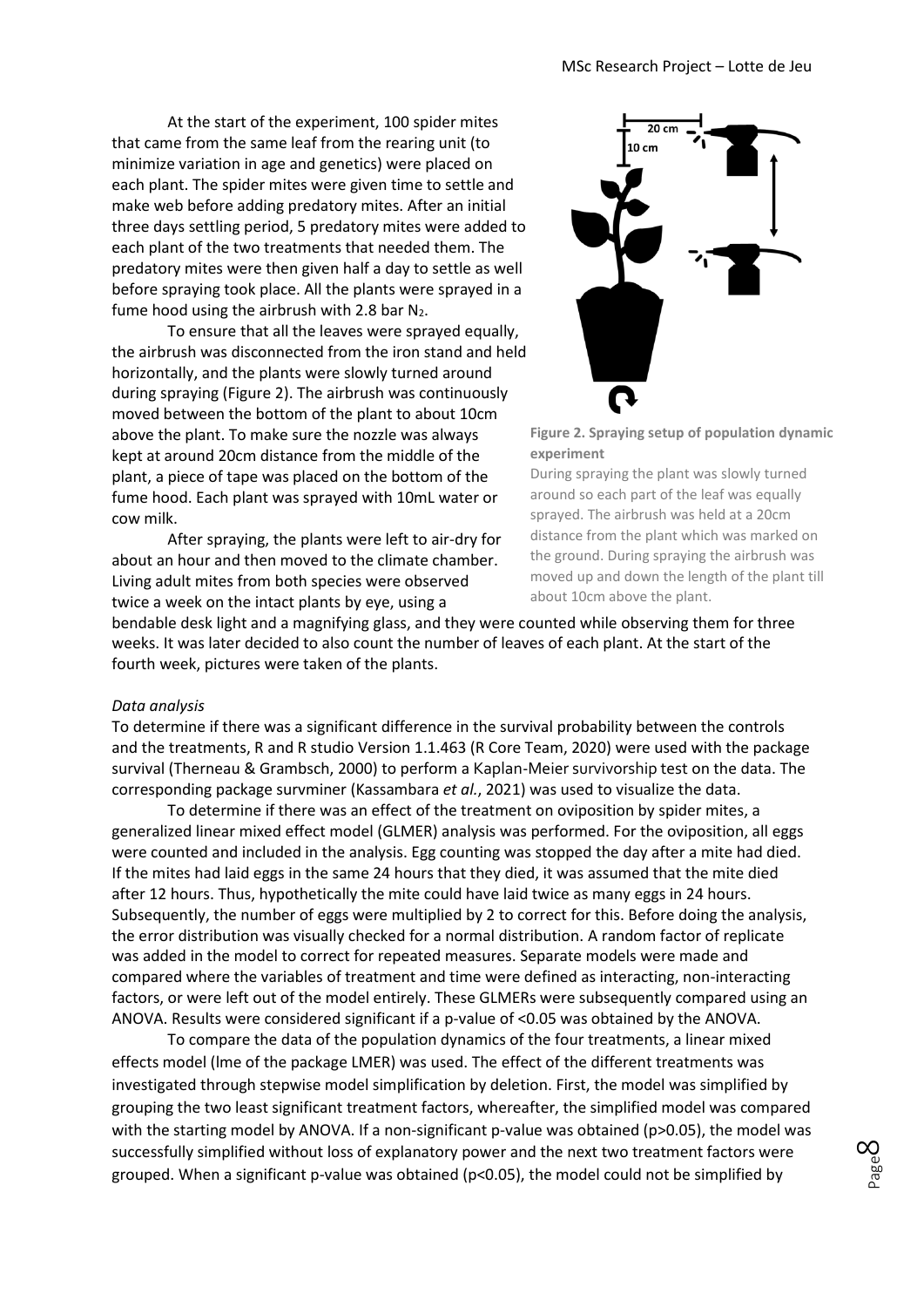At the start of the experiment, 100 spider mites that came from the same leaf from the rearing unit (to minimize variation in age and genetics) were placed on each plant. The spider mites were given time to settle and make web before adding predatory mites. After an initial three days settling period, 5 predatory mites were added to each plant of the two treatments that needed them. The predatory mites were then given half a day to settle as well before spraying took place. All the plants were sprayed in a fume hood using the airbrush with 2.8 bar  $N_2$ .

To ensure that all the leaves were sprayed equally, the airbrush was disconnected from the iron stand and held horizontally, and the plants were slowly turned around during spraying (Figure 2). The airbrush was continuously moved between the bottom of the plant to about 10cm above the plant. To make sure the nozzle was always kept at around 20cm distance from the middle of the plant, a piece of tape was placed on the bottom of the fume hood. Each plant was sprayed with 10mL water or cow milk.

After spraying, the plants were left to air-dry for about an hour and then moved to the climate chamber. Living adult mites from both species were observed twice a week on the intact plants by eye, using a



**Figure 2. Spraying setup of population dynamic experiment**

During spraying the plant was slowly turned around so each part of the leaf was equally sprayed. The airbrush was held at a 20cm distance from the plant which was marked on the ground. During spraying the airbrush was moved up and down the length of the plant till about 10cm above the plant.

bendable desk light and a magnifying glass, and they were counted while observing them for three weeks. It was later decided to also count the number of leaves of each plant. At the start of the fourth week, pictures were taken of the plants.

#### *Data analysis*

To determine if there was a significant difference in the survival probability between the controls and the treatments, R and R studio Version 1.1.463 (R Core Team, 2020) were used with the package survival (Therneau & Grambsch, 2000) to perform a Kaplan-Meier survivorship test on the data. The corresponding package survminer (Kassambara *et al.*, 2021) was used to visualize the data.

To determine if there was an effect of the treatment on oviposition by spider mites, a generalized linear mixed effect model (GLMER) analysis was performed. For the oviposition, all eggs were counted and included in the analysis. Egg counting was stopped the day after a mite had died. If the mites had laid eggs in the same 24 hours that they died, it was assumed that the mite died after 12 hours. Thus, hypothetically the mite could have laid twice as many eggs in 24 hours. Subsequently, the number of eggs were multiplied by 2 to correct for this. Before doing the analysis, the error distribution was visually checked for a normal distribution. A random factor of replicate was added in the model to correct for repeated measures. Separate models were made and compared where the variables of treatment and time were defined as interacting, non-interacting factors, or were left out of the model entirely. These GLMERs were subsequently compared using an ANOVA. Results were considered significant if a p-value of <0.05 was obtained by the ANOVA.

To compare the data of the population dynamics of the four treatments, a linear mixed effects model (lme of the package LMER) was used. The effect of the different treatments was investigated through stepwise model simplification by deletion. First, the model was simplified by grouping the two least significant treatment factors, whereafter, the simplified model was compared with the starting model by ANOVA. If a non-significant p-value was obtained (p>0.05), the model was successfully simplified without loss of explanatory power and the next two treatment factors were grouped. When a significant p-value was obtained ( $p<0.05$ ), the model could not be simplified by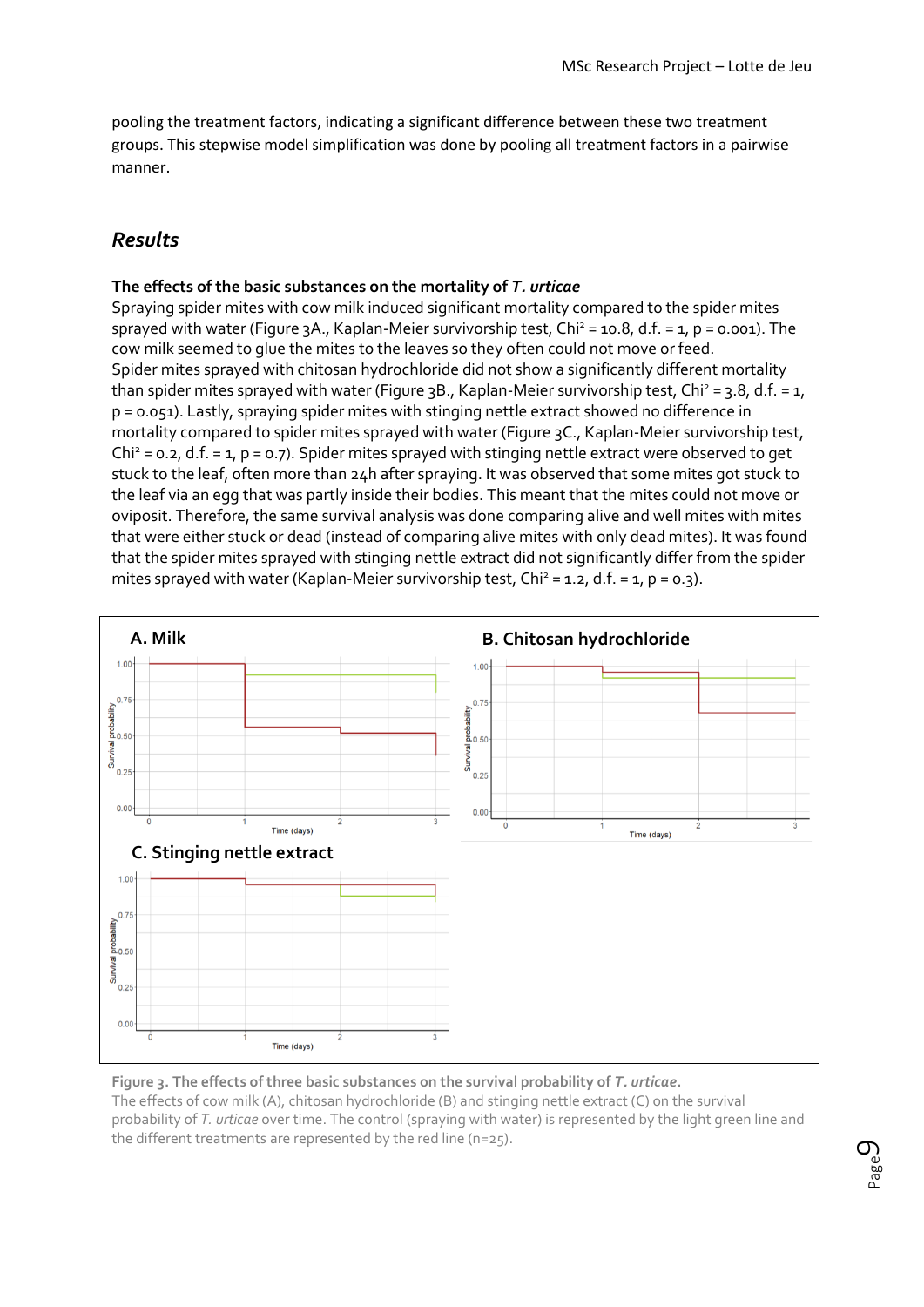pooling the treatment factors, indicating a significant difference between these two treatment groups. This stepwise model simplification was done by pooling all treatment factors in a pairwise manner.

# *Results*

## **The effects of the basic substances on the mortality of** *T. urticae*

Spraying spider mites with cow milk induced significant mortality compared to the spider mites sprayed with water (Figure 3A., Kaplan-Meier survivorship test, Chi<sup>2</sup> = 10.8, d.f. = 1, p = 0.001). The cow milk seemed to glue the mites to the leaves so they often could not move or feed. Spider mites sprayed with chitosan hydrochloride did not show a significantly different mortality than spider mites sprayed with water (Figure 3B., Kaplan-Meier survivorship test, Chi<sup>2</sup> = 3.8, d.f. = 1, p = 0.051). Lastly, spraying spider mites with stinging nettle extract showed no difference in mortality compared to spider mites sprayed with water (Figure 3C., Kaplan-Meier survivorship test,  $Chi^2 = 0.2$ , d.f. = 1, p = 0.7). Spider mites sprayed with stinging nettle extract were observed to get stuck to the leaf, often more than 24h after spraying. It was observed that some mites got stuck to the leaf via an egg that was partly inside their bodies. This meant that the mites could not move or oviposit. Therefore, the same survival analysis was done comparing alive and well mites with mites that were either stuck or dead (instead of comparing alive mites with only dead mites). It was found that the spider mites sprayed with stinging nettle extract did not significantly differ from the spider mites sprayed with water (Kaplan-Meier survivorship test, Chi<sup>2</sup> = 1.2, d.f. = 1, p = 0.3).



**Figure 3. The effects of three basic substances on the survival probability of** *T. urticae***.** The effects of cow milk (A), chitosan hydrochloride (B) and stinging nettle extract (C) on the survival probability of *T. urticae* over time. The control (spraying with water) is represented by the light green line and the different treatments are represented by the red line (n=25).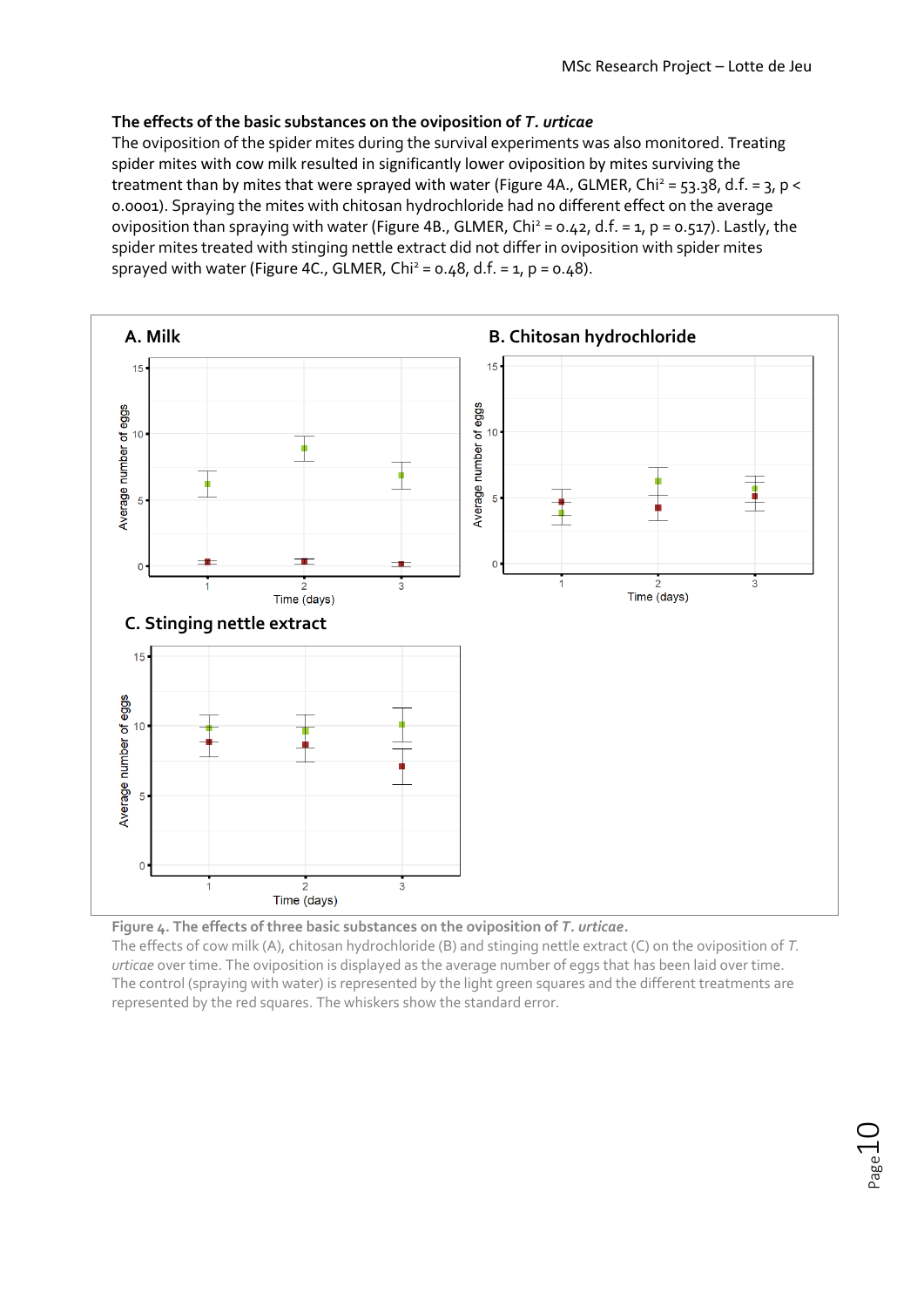## **The effects of the basic substances on the oviposition of** *T. urticae*

The oviposition of the spider mites during the survival experiments was also monitored. Treating spider mites with cow milk resulted in significantly lower oviposition by mites surviving the treatment than by mites that were sprayed with water (Figure 4A., GLMER, Chi<sup>2</sup> = 53.38, d.f. = 3, p < 0.0001). Spraying the mites with chitosan hydrochloride had no different effect on the average oviposition than spraying with water (Figure 4B., GLMER, Chi<sup>2</sup> = 0.42, d.f. = 1, p = 0.517). Lastly, the spider mites treated with stinging nettle extract did not differ in oviposition with spider mites sprayed with water (Figure 4C., GLMER,  $Chi^2 = 0.48$ , d.f. = 1, p = 0.48).





The effects of cow milk (A), chitosan hydrochloride (B) and stinging nettle extract (C) on the oviposition of *T. urticae* over time. The oviposition is displayed as the average number of eggs that has been laid over time. The control (spraying with water) is represented by the light green squares and the different treatments are represented by the red squares. The whiskers show the standard error.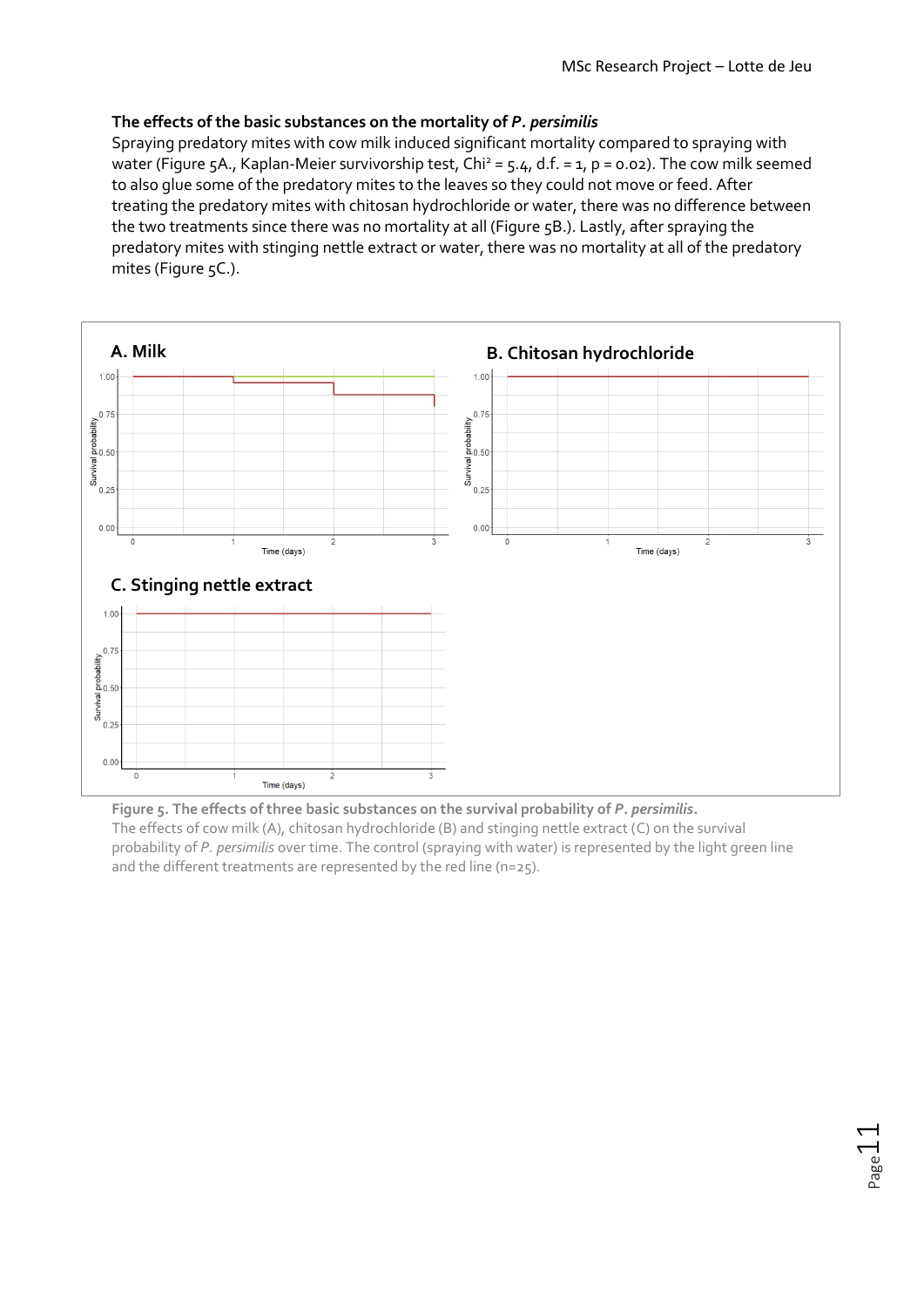$P$ age $11$ 

## **The effects of the basic substances on the mortality of** *P. persimilis*

Spraying predatory mites with cow milk induced significant mortality compared to spraying with water (Figure 5A., Kaplan-Meier survivorship test, Chi<sup>2</sup> = 5.4, d.f. = 1, p = 0.02). The cow milk seemed to also glue some of the predatory mites to the leaves so they could not move or feed. After treating the predatory mites with chitosan hydrochloride or water, there was no difference between the two treatments since there was no mortality at all (Figure 5B.). Lastly, after spraying the predatory mites with stinging nettle extract or water, there was no mortality at all of the predatory mites (Figure 5C.).



**Figure 5. The effects of three basic substances on the survival probability of** *P. persimilis***.** The effects of cow milk (A), chitosan hydrochloride (B) and stinging nettle extract (C) on the survival probability of *P. persimilis* over time. The control (spraying with water) is represented by the light green line and the different treatments are represented by the red line (n=25).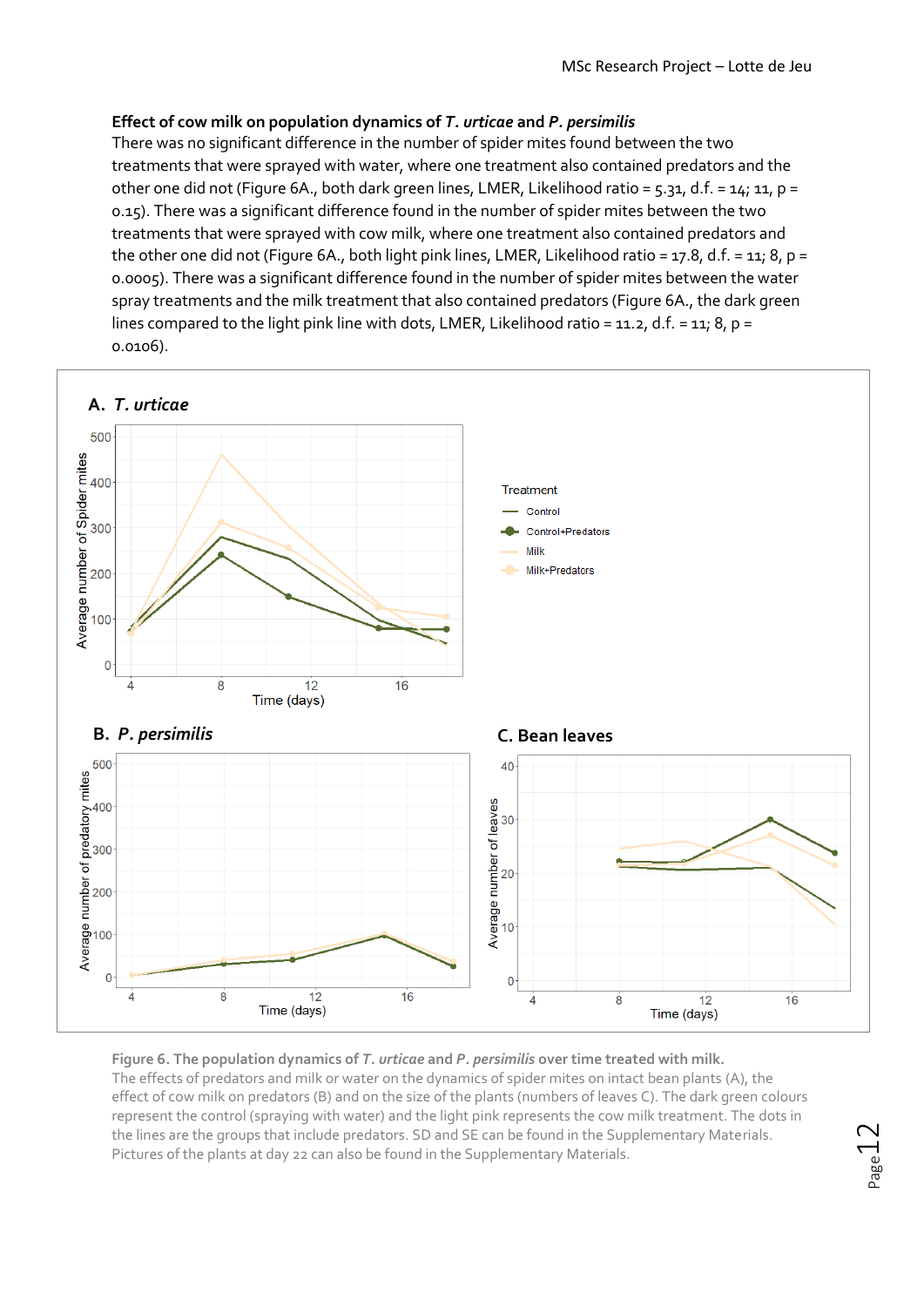## **Effect of cow milk on population dynamics of** *T. urticae* **and** *P. persimilis*

There was no significant difference in the number of spider mites found between the two treatments that were sprayed with water, where one treatment also contained predators and the other one did not (Figure 6A., both dark green lines, LMER, Likelihood ratio = 5.31, d.f. = 14; 11, p = 0.15). There was a significant difference found in the number of spider mites between the two treatments that were sprayed with cow milk, where one treatment also contained predators and the other one did not (Figure 6A., both light pink lines, LMER, Likelihood ratio = 17.8, d.f. = 11; 8, p = 0.0005). There was a significant difference found in the number of spider mites between the water spray treatments and the milk treatment that also contained predators (Figure 6A., the dark green lines compared to the light pink line with dots, LMER, Likelihood ratio = 11.2, d.f. = 11; 8, p = 0.0106).



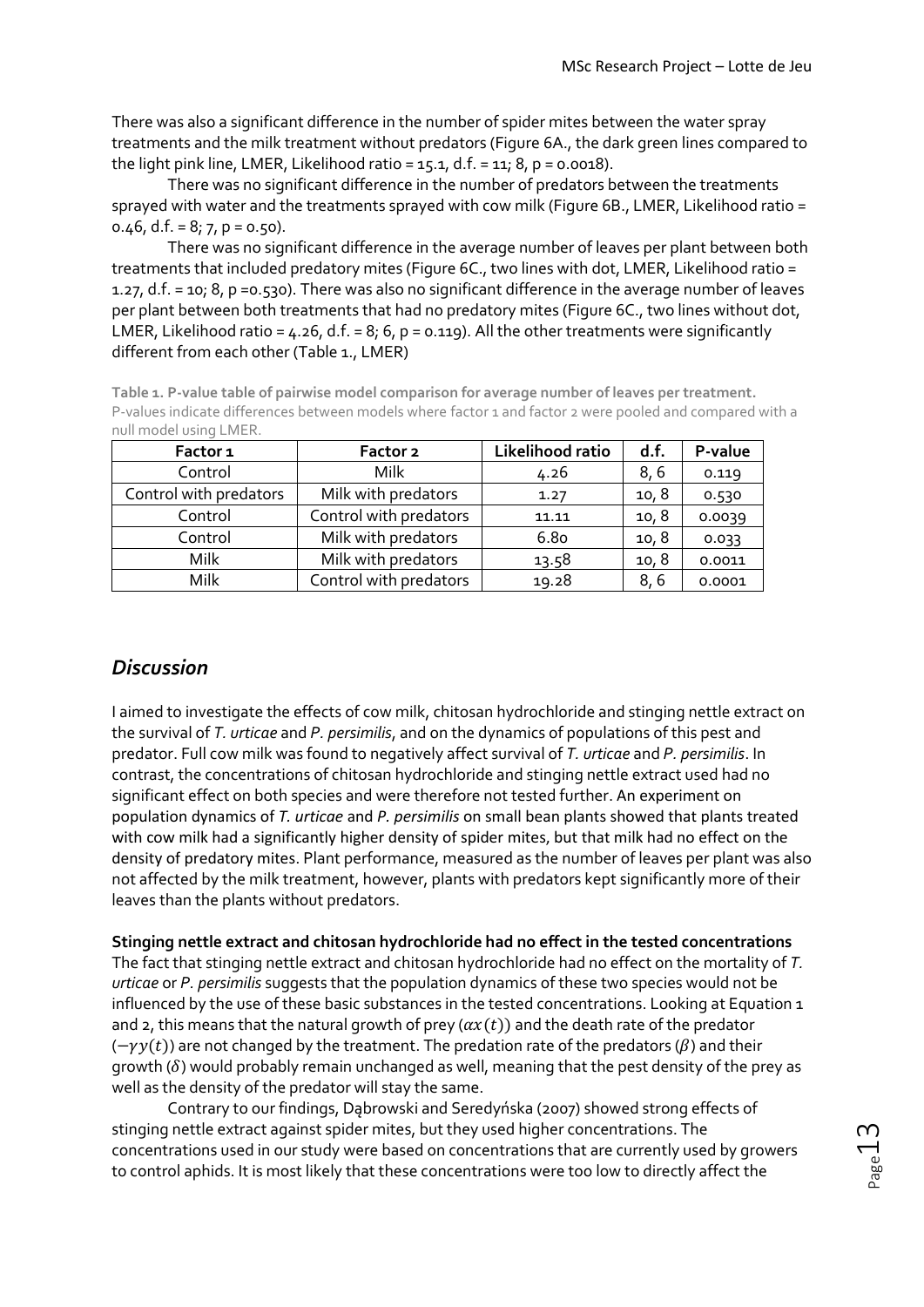There was also a significant difference in the number of spider mites between the water spray treatments and the milk treatment without predators (Figure 6A., the dark green lines compared to the light pink line, LMER, Likelihood ratio =  $15.1$ , d.f. =  $11$ ; 8, p = 0.0018).

There was no significant difference in the number of predators between the treatments sprayed with water and the treatments sprayed with cow milk (Figure 6B., LMER, Likelihood ratio = 0.46, d.f. =  $8$ ;  $7$ ,  $p = 0.50$ ).

There was no significant difference in the average number of leaves per plant between both treatments that included predatory mites (Figure 6C., two lines with dot, LMER, Likelihood ratio = 1.27, d.f. = 10; 8, p =0.530). There was also no significant difference in the average number of leaves per plant between both treatments that had no predatory mites (Figure 6C., two lines without dot, LMER, Likelihood ratio =  $4.26$ , d.f. =  $8$ ;  $6$ ,  $p = 0.119$ ). All the other treatments were significantly different from each other (Table 1., LMER)

| Table 1. P-value table of pairwise model comparison for average number of leaves per treatment.          |
|----------------------------------------------------------------------------------------------------------|
| P-values indicate differences between models where factor 1 and factor 2 were pooled and compared with a |
| null model using LMER.                                                                                   |

| Factor 1               | Factor 2               | Likelihood ratio | d.f.  | P-value |
|------------------------|------------------------|------------------|-------|---------|
| Control                | <b>Milk</b>            | 4.26             | 8,6   | 0.119   |
| Control with predators | Milk with predators    | 1.27             | 10, 8 | 0.530   |
| Control                | Control with predators | 11.11            | 10, 8 | 0.0039  |
| Control                | Milk with predators    | <b>6.80</b>      | 10, 8 | 0.033   |
| Milk                   | Milk with predators    | 13.58            | 10, 8 | 0.0011  |
| Milk                   | Control with predators | 19.28            | 8,6   | 0.0001  |

# *Discussion*

I aimed to investigate the effects of cow milk, chitosan hydrochloride and stinging nettle extract on the survival of *T. urticae* and *P. persimilis*, and on the dynamics of populations of this pest and predator. Full cow milk was found to negatively affect survival of *T. urticae* and *P. persimilis*. In contrast, the concentrations of chitosan hydrochloride and stinging nettle extract used had no significant effect on both species and were therefore not tested further. An experiment on population dynamics of *T. urticae* and *P. persimilis* on small bean plants showed that plants treated with cow milk had a significantly higher density of spider mites, but that milk had no effect on the density of predatory mites. Plant performance, measured as the number of leaves per plant was also not affected by the milk treatment, however, plants with predators kept significantly more of their leaves than the plants without predators.

**Stinging nettle extract and chitosan hydrochloride had no effect in the tested concentrations**

The fact that stinging nettle extract and chitosan hydrochloride had no effect on the mortality of *T. urticae* or *P. persimilis* suggests that the population dynamics of these two species would not be influenced by the use of these basic substances in the tested concentrations. Looking at Equation 1 and 2, this means that the natural growth of prey ( $\alpha x(t)$ ) and the death rate of the predator  $(-\gamma y(t))$  are not changed by the treatment. The predation rate of the predators ( $\beta$ ) and their growth ( $\delta$ ) would probably remain unchanged as well, meaning that the pest density of the prey as well as the density of the predator will stay the same.

Contrary to our findings, Dąbrowski and Seredyńska (2007) showed strong effects of stinging nettle extract against spider mites, but they used higher concentrations. The concentrations used in our study were based on concentrations that are currently used by growers to control aphids. It is most likely that these concentrations were too low to directly affect the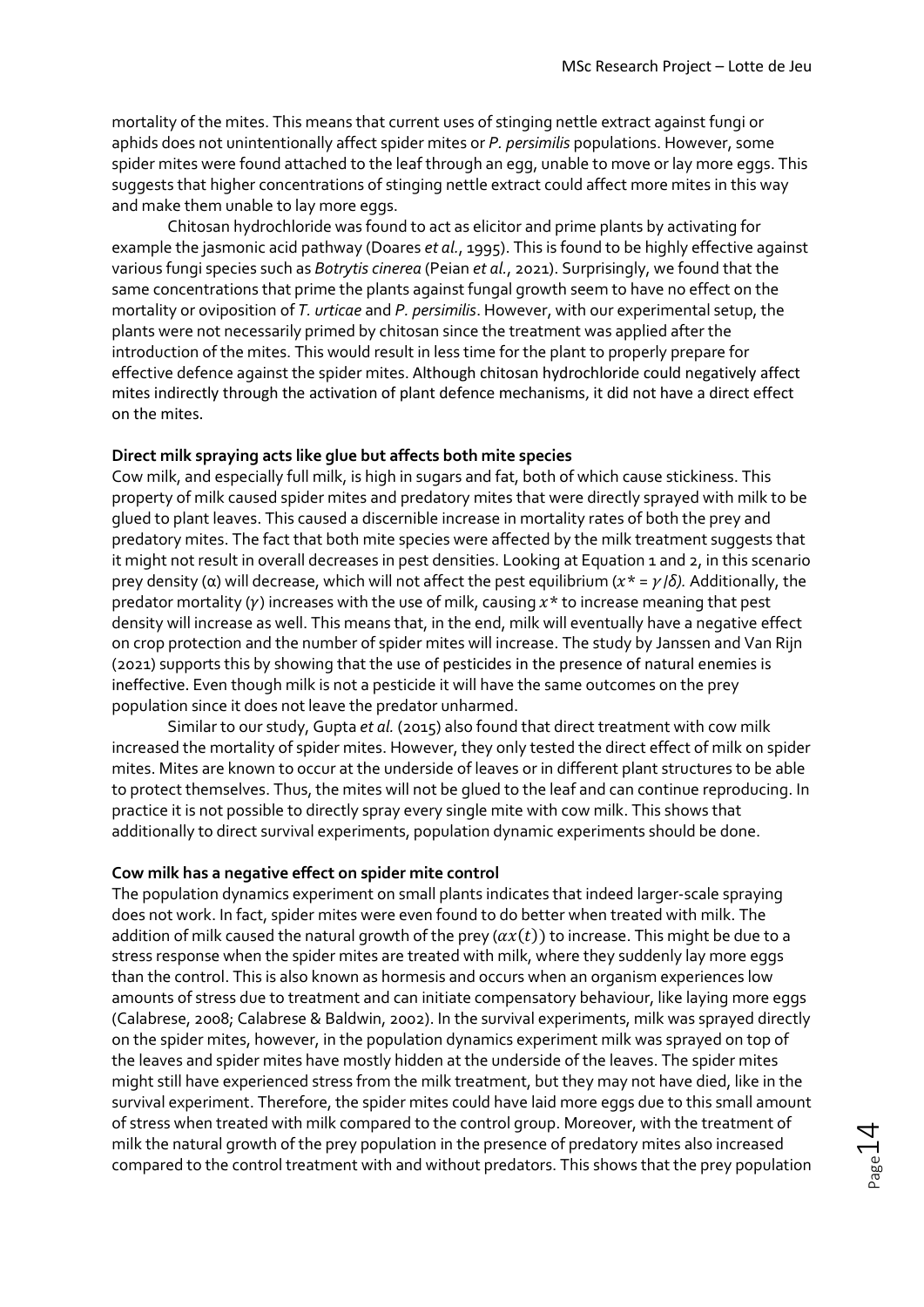mortality of the mites. This means that current uses of stinging nettle extract against fungi or aphids does not unintentionally affect spider mites or *P. persimilis* populations. However, some spider mites were found attached to the leaf through an egg, unable to move or lay more eggs. This suggests that higher concentrations of stinging nettle extract could affect more mites in this way and make them unable to lay more eggs.

Chitosan hydrochloride was found to act as elicitor and prime plants by activating for example the jasmonic acid pathway (Doares *et al.*, 1995). This is found to be highly effective against various fungi species such as *Botrytis cinerea* (Peian *et al.*, 2021). Surprisingly, we found that the same concentrations that prime the plants against fungal growth seem to have no effect on the mortality or oviposition of *T. urticae* and *P. persimilis*. However, with our experimental setup, the plants were not necessarily primed by chitosan since the treatment was applied after the introduction of the mites. This would result in less time for the plant to properly prepare for effective defence against the spider mites. Although chitosan hydrochloride could negatively affect mites indirectly through the activation of plant defence mechanisms, it did not have a direct effect on the mites.

#### **Direct milk spraying acts like glue but affects both mite species**

Cow milk, and especially full milk, is high in sugars and fat, both of which cause stickiness. This property of milk caused spider mites and predatory mites that were directly sprayed with milk to be glued to plant leaves. This caused a discernible increase in mortality rates of both the prey and predatory mites. The fact that both mite species were affected by the milk treatment suggests that it might not result in overall decreases in pest densities. Looking at Equation 1 and 2, in this scenario prey density (α) will decrease, which will not affect the pest equilibrium ( $x^* = \gamma/\delta$ ). Additionally, the predator mortality ( $\gamma$ ) increases with the use of milk, causing  $x^*$  to increase meaning that pest density will increase as well. This means that, in the end, milk will eventually have a negative effect on crop protection and the number of spider mites will increase. The study by Janssen and Van Rijn (2021) supports this by showing that the use of pesticides in the presence of natural enemies is ineffective. Even though milk is not a pesticide it will have the same outcomes on the prey population since it does not leave the predator unharmed.

Similar to our study, Gupta *et al.* (2015) also found that direct treatment with cow milk increased the mortality of spider mites. However, they only tested the direct effect of milk on spider mites. Mites are known to occur at the underside of leaves or in different plant structures to be able to protect themselves. Thus, the mites will not be glued to the leaf and can continue reproducing. In practice it is not possible to directly spray every single mite with cow milk. This shows that additionally to direct survival experiments, population dynamic experiments should be done.

#### **Cow milk has a negative effect on spider mite control**

The population dynamics experiment on small plants indicates that indeed larger-scale spraying does not work. In fact, spider mites were even found to do better when treated with milk. The addition of milk caused the natural growth of the prey ( $ax(t)$ ) to increase. This might be due to a stress response when the spider mites are treated with milk, where they suddenly lay more eggs than the control. This is also known as hormesis and occurs when an organism experiences low amounts of stress due to treatment and can initiate compensatory behaviour, like laying more eggs (Calabrese, 2008; Calabrese & Baldwin, 2002). In the survival experiments, milk was sprayed directly on the spider mites, however, in the population dynamics experiment milk was sprayed on top of the leaves and spider mites have mostly hidden at the underside of the leaves. The spider mites might still have experienced stress from the milk treatment, but they may not have died, like in the survival experiment. Therefore, the spider mites could have laid more eggs due to this small amount of stress when treated with milk compared to the control group. Moreover, with the treatment of milk the natural growth of the prey population in the presence of predatory mites also increased compared to the control treatment with and without predators. This shows that the prey population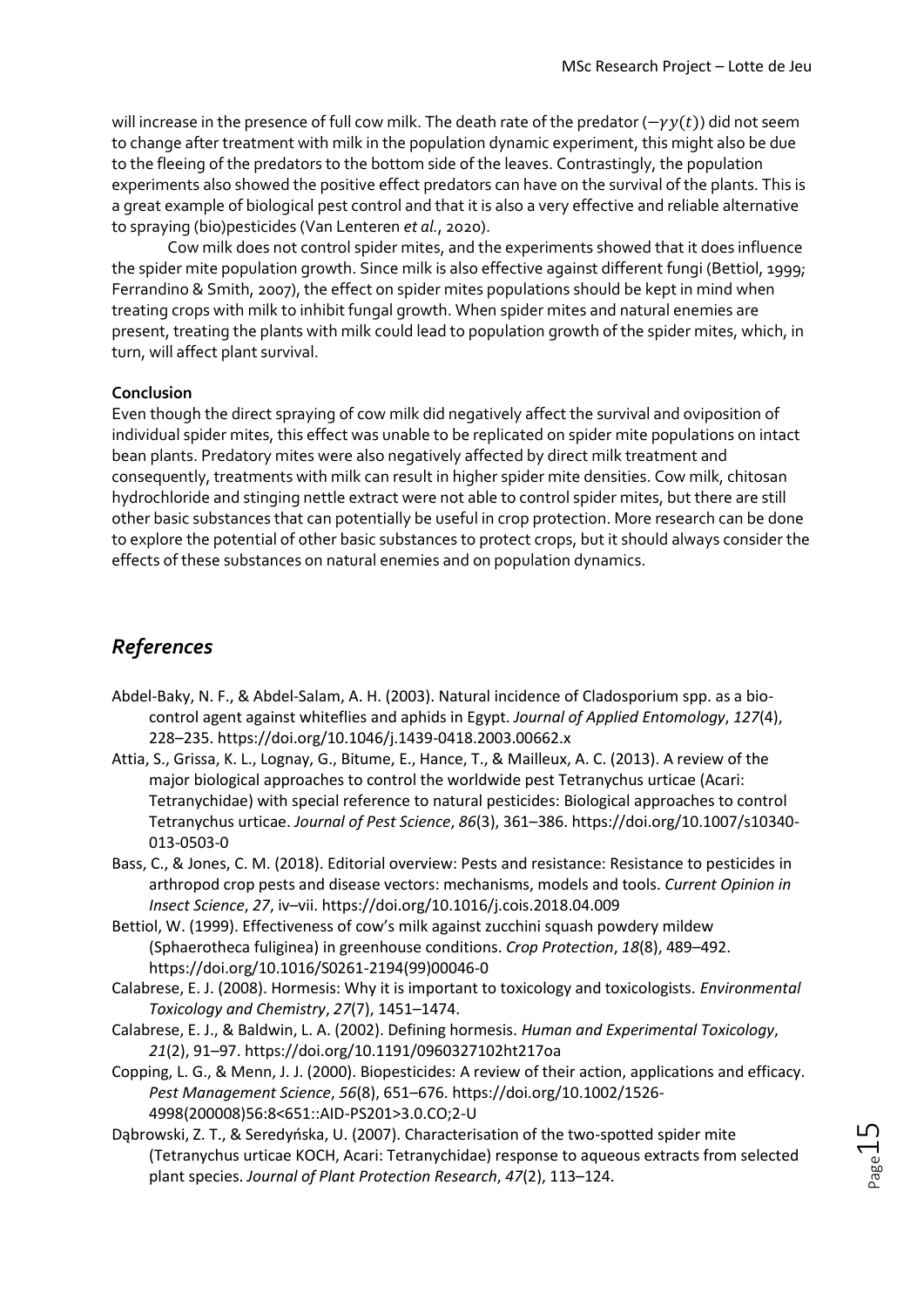will increase in the presence of full cow milk. The death rate of the predator ( $-\gamma y(t)$ ) did not seem to change after treatment with milk in the population dynamic experiment, this might also be due to the fleeing of the predators to the bottom side of the leaves. Contrastingly, the population experiments also showed the positive effect predators can have on the survival of the plants. This is a great example of biological pest control and that it is also a very effective and reliable alternative to spraying (bio)pesticides (Van Lenteren *et al.*, 2020).

Cow milk does not control spider mites, and the experiments showed that it does influence the spider mite population growth. Since milk is also effective against different fungi (Bettiol, 1999; Ferrandino & Smith, 2007), the effect on spider mites populations should be kept in mind when treating crops with milk to inhibit fungal growth. When spider mites and natural enemies are present, treating the plants with milk could lead to population growth of the spider mites, which, in turn, will affect plant survival.

## **Conclusion**

Even though the direct spraying of cow milk did negatively affect the survival and oviposition of individual spider mites, this effect was unable to be replicated on spider mite populations on intact bean plants. Predatory mites were also negatively affected by direct milk treatment and consequently, treatments with milk can result in higher spider mite densities. Cow milk, chitosan hydrochloride and stinging nettle extract were not able to control spider mites, but there are still other basic substances that can potentially be useful in crop protection. More research can be done to explore the potential of other basic substances to protect crops, but it should always consider the effects of these substances on natural enemies and on population dynamics.

## *References*

- Abdel-Baky, N. F., & Abdel-Salam, A. H. (2003). Natural incidence of Cladosporium spp. as a biocontrol agent against whiteflies and aphids in Egypt. *Journal of Applied Entomology*, *127*(4), 228–235. https://doi.org/10.1046/j.1439-0418.2003.00662.x
- Attia, S., Grissa, K. L., Lognay, G., Bitume, E., Hance, T., & Mailleux, A. C. (2013). A review of the major biological approaches to control the worldwide pest Tetranychus urticae (Acari: Tetranychidae) with special reference to natural pesticides: Biological approaches to control Tetranychus urticae. *Journal of Pest Science*, *86*(3), 361–386. https://doi.org/10.1007/s10340- 013-0503-0
- Bass, C., & Jones, C. M. (2018). Editorial overview: Pests and resistance: Resistance to pesticides in arthropod crop pests and disease vectors: mechanisms, models and tools. *Current Opinion in Insect Science*, *27*, iv–vii. https://doi.org/10.1016/j.cois.2018.04.009
- Bettiol, W. (1999). Effectiveness of cow's milk against zucchini squash powdery mildew (Sphaerotheca fuliginea) in greenhouse conditions. *Crop Protection*, *18*(8), 489–492. https://doi.org/10.1016/S0261-2194(99)00046-0
- Calabrese, E. J. (2008). Hormesis: Why it is important to toxicology and toxicologists. *Environmental Toxicology and Chemistry*, *27*(7), 1451–1474.
- Calabrese, E. J., & Baldwin, L. A. (2002). Defining hormesis. *Human and Experimental Toxicology*, *21*(2), 91–97. https://doi.org/10.1191/0960327102ht217oa
- Copping, L. G., & Menn, J. J. (2000). Biopesticides: A review of their action, applications and efficacy. *Pest Management Science*, *56*(8), 651–676. https://doi.org/10.1002/1526- 4998(200008)56:8<651::AID-PS201>3.0.CO;2-U
- Dąbrowski, Z. T., & Seredyńska, U. (2007). Characterisation of the two-spotted spider mite (Tetranychus urticae KOCH, Acari: Tetranychidae) response to aqueous extracts from selected plant species. *Journal of Plant Protection Research*, *47*(2), 113–124.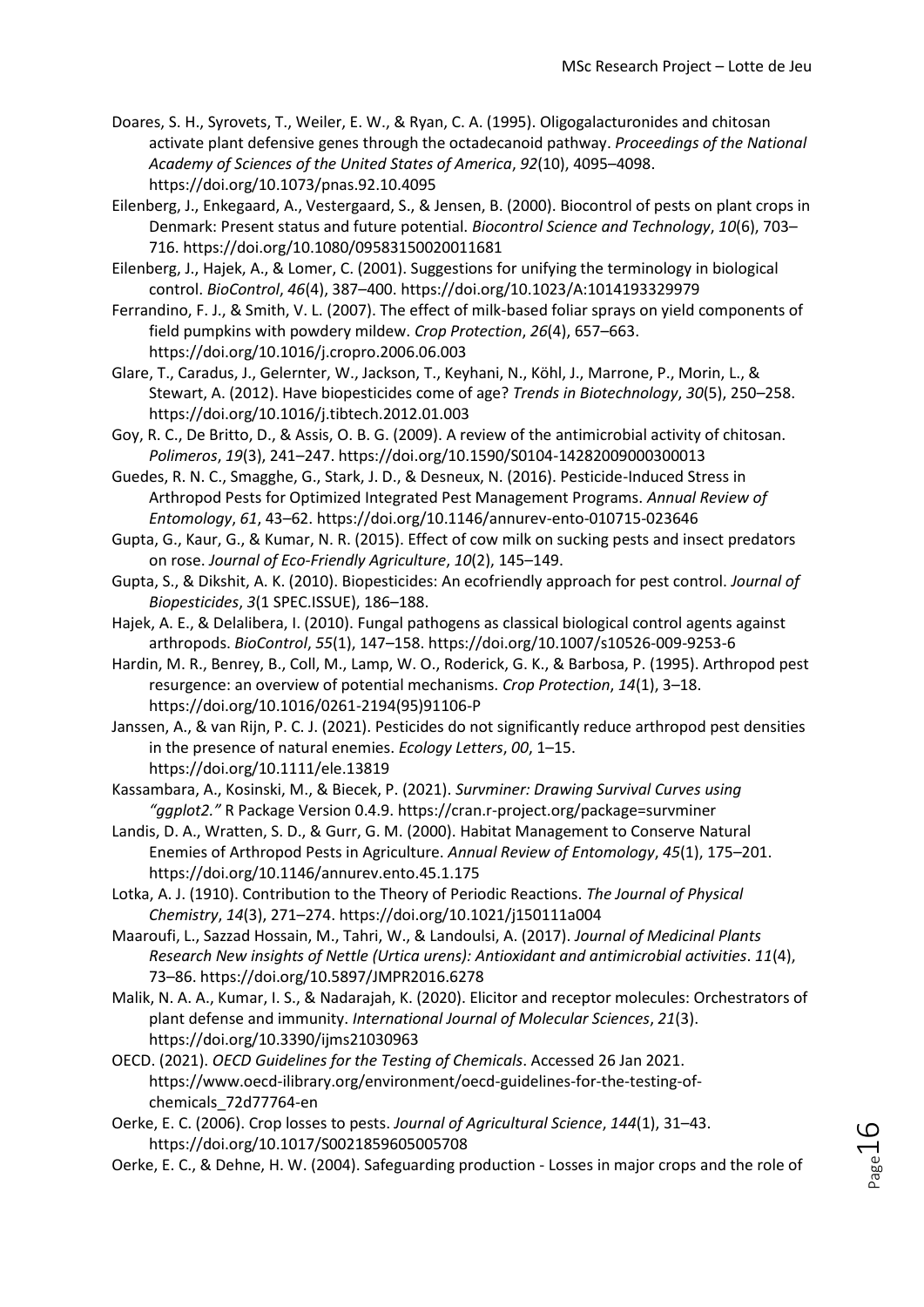- Doares, S. H., Syrovets, T., Weiler, E. W., & Ryan, C. A. (1995). Oligogalacturonides and chitosan activate plant defensive genes through the octadecanoid pathway. *Proceedings of the National Academy of Sciences of the United States of America*, *92*(10), 4095–4098. https://doi.org/10.1073/pnas.92.10.4095
- Eilenberg, J., Enkegaard, A., Vestergaard, S., & Jensen, B. (2000). Biocontrol of pests on plant crops in Denmark: Present status and future potential. *Biocontrol Science and Technology*, *10*(6), 703– 716. https://doi.org/10.1080/09583150020011681
- Eilenberg, J., Hajek, A., & Lomer, C. (2001). Suggestions for unifying the terminology in biological control. *BioControl*, *46*(4), 387–400. https://doi.org/10.1023/A:1014193329979
- Ferrandino, F. J., & Smith, V. L. (2007). The effect of milk-based foliar sprays on yield components of field pumpkins with powdery mildew. *Crop Protection*, *26*(4), 657–663. https://doi.org/10.1016/j.cropro.2006.06.003
- Glare, T., Caradus, J., Gelernter, W., Jackson, T., Keyhani, N., Köhl, J., Marrone, P., Morin, L., & Stewart, A. (2012). Have biopesticides come of age? *Trends in Biotechnology*, *30*(5), 250–258. https://doi.org/10.1016/j.tibtech.2012.01.003
- Goy, R. C., De Britto, D., & Assis, O. B. G. (2009). A review of the antimicrobial activity of chitosan. *Polimeros*, *19*(3), 241–247. https://doi.org/10.1590/S0104-14282009000300013
- Guedes, R. N. C., Smagghe, G., Stark, J. D., & Desneux, N. (2016). Pesticide-Induced Stress in Arthropod Pests for Optimized Integrated Pest Management Programs. *Annual Review of Entomology*, *61*, 43–62. https://doi.org/10.1146/annurev-ento-010715-023646
- Gupta, G., Kaur, G., & Kumar, N. R. (2015). Effect of cow milk on sucking pests and insect predators on rose. *Journal of Eco-Friendly Agriculture*, *10*(2), 145–149.
- Gupta, S., & Dikshit, A. K. (2010). Biopesticides: An ecofriendly approach for pest control. *Journal of Biopesticides*, *3*(1 SPEC.ISSUE), 186–188.
- Hajek, A. E., & Delalibera, I. (2010). Fungal pathogens as classical biological control agents against arthropods. *BioControl*, *55*(1), 147–158. https://doi.org/10.1007/s10526-009-9253-6
- Hardin, M. R., Benrey, B., Coll, M., Lamp, W. O., Roderick, G. K., & Barbosa, P. (1995). Arthropod pest resurgence: an overview of potential mechanisms. *Crop Protection*, *14*(1), 3–18. https://doi.org/10.1016/0261-2194(95)91106-P
- Janssen, A., & van Rijn, P. C. J. (2021). Pesticides do not significantly reduce arthropod pest densities in the presence of natural enemies. *Ecology Letters*, *00*, 1–15. https://doi.org/10.1111/ele.13819
- Kassambara, A., Kosinski, M., & Biecek, P. (2021). *Survminer: Drawing Survival Curves using "ggplot2."* R Package Version 0.4.9. https://cran.r-project.org/package=survminer
- Landis, D. A., Wratten, S. D., & Gurr, G. M. (2000). Habitat Management to Conserve Natural Enemies of Arthropod Pests in Agriculture. *Annual Review of Entomology*, *45*(1), 175–201. https://doi.org/10.1146/annurev.ento.45.1.175
- Lotka, A. J. (1910). Contribution to the Theory of Periodic Reactions. *The Journal of Physical Chemistry*, *14*(3), 271–274. https://doi.org/10.1021/j150111a004
- Maaroufi, L., Sazzad Hossain, M., Tahri, W., & Landoulsi, A. (2017). *Journal of Medicinal Plants Research New insights of Nettle (Urtica urens): Antioxidant and antimicrobial activities*. *11*(4), 73–86. https://doi.org/10.5897/JMPR2016.6278
- Malik, N. A. A., Kumar, I. S., & Nadarajah, K. (2020). Elicitor and receptor molecules: Orchestrators of plant defense and immunity. *International Journal of Molecular Sciences*, *21*(3). https://doi.org/10.3390/ijms21030963
- OECD. (2021). *OECD Guidelines for the Testing of Chemicals*. Accessed 26 Jan 2021. https://www.oecd-ilibrary.org/environment/oecd-guidelines-for-the-testing-ofchemicals\_72d77764-en
- Oerke, E. C. (2006). Crop losses to pests. *Journal of Agricultural Science*, *144*(1), 31–43. https://doi.org/10.1017/S0021859605005708
- Oerke, E. C., & Dehne, H. W. (2004). Safeguarding production Losses in major crops and the role of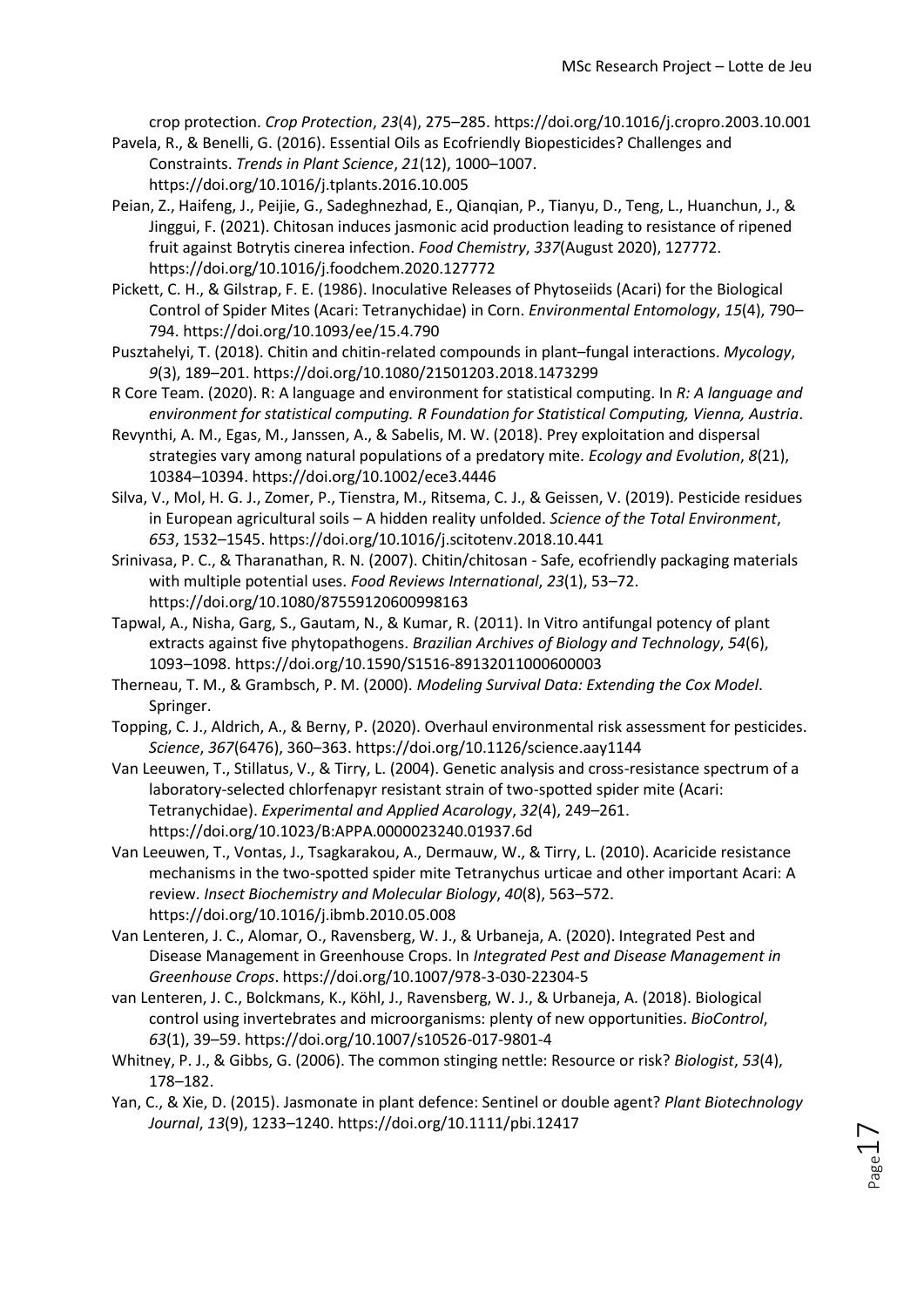crop protection. *Crop Protection*, *23*(4), 275–285. https://doi.org/10.1016/j.cropro.2003.10.001

- Pavela, R., & Benelli, G. (2016). Essential Oils as Ecofriendly Biopesticides? Challenges and Constraints. *Trends in Plant Science*, *21*(12), 1000–1007. https://doi.org/10.1016/j.tplants.2016.10.005
- Peian, Z., Haifeng, J., Peijie, G., Sadeghnezhad, E., Qianqian, P., Tianyu, D., Teng, L., Huanchun, J., & Jinggui, F. (2021). Chitosan induces jasmonic acid production leading to resistance of ripened fruit against Botrytis cinerea infection. *Food Chemistry*, *337*(August 2020), 127772. https://doi.org/10.1016/j.foodchem.2020.127772
- Pickett, C. H., & Gilstrap, F. E. (1986). Inoculative Releases of Phytoseiids (Acari) for the Biological Control of Spider Mites (Acari: Tetranychidae) in Corn. *Environmental Entomology*, *15*(4), 790– 794. https://doi.org/10.1093/ee/15.4.790
- Pusztahelyi, T. (2018). Chitin and chitin-related compounds in plant–fungal interactions. *Mycology*, *9*(3), 189–201. https://doi.org/10.1080/21501203.2018.1473299
- R Core Team. (2020). R: A language and environment for statistical computing. In *R: A language and environment for statistical computing. R Foundation for Statistical Computing, Vienna, Austria*.
- Revynthi, A. M., Egas, M., Janssen, A., & Sabelis, M. W. (2018). Prey exploitation and dispersal strategies vary among natural populations of a predatory mite. *Ecology and Evolution*, *8*(21), 10384–10394. https://doi.org/10.1002/ece3.4446
- Silva, V., Mol, H. G. J., Zomer, P., Tienstra, M., Ritsema, C. J., & Geissen, V. (2019). Pesticide residues in European agricultural soils – A hidden reality unfolded. *Science of the Total Environment*, *653*, 1532–1545. https://doi.org/10.1016/j.scitotenv.2018.10.441
- Srinivasa, P. C., & Tharanathan, R. N. (2007). Chitin/chitosan Safe, ecofriendly packaging materials with multiple potential uses. *Food Reviews International*, *23*(1), 53–72. https://doi.org/10.1080/87559120600998163
- Tapwal, A., Nisha, Garg, S., Gautam, N., & Kumar, R. (2011). In Vitro antifungal potency of plant extracts against five phytopathogens. *Brazilian Archives of Biology and Technology*, *54*(6), 1093–1098. https://doi.org/10.1590/S1516-89132011000600003
- Therneau, T. M., & Grambsch, P. M. (2000). *Modeling Survival Data: Extending the Cox Model*. Springer.
- Topping, C. J., Aldrich, A., & Berny, P. (2020). Overhaul environmental risk assessment for pesticides. *Science*, *367*(6476), 360–363. https://doi.org/10.1126/science.aay1144
- Van Leeuwen, T., Stillatus, V., & Tirry, L. (2004). Genetic analysis and cross-resistance spectrum of a laboratory-selected chlorfenapyr resistant strain of two-spotted spider mite (Acari: Tetranychidae). *Experimental and Applied Acarology*, *32*(4), 249–261. https://doi.org/10.1023/B:APPA.0000023240.01937.6d
- Van Leeuwen, T., Vontas, J., Tsagkarakou, A., Dermauw, W., & Tirry, L. (2010). Acaricide resistance mechanisms in the two-spotted spider mite Tetranychus urticae and other important Acari: A review. *Insect Biochemistry and Molecular Biology*, *40*(8), 563–572. https://doi.org/10.1016/j.ibmb.2010.05.008
- Van Lenteren, J. C., Alomar, O., Ravensberg, W. J., & Urbaneja, A. (2020). Integrated Pest and Disease Management in Greenhouse Crops. In *Integrated Pest and Disease Management in Greenhouse Crops*. https://doi.org/10.1007/978-3-030-22304-5
- van Lenteren, J. C., Bolckmans, K., Köhl, J., Ravensberg, W. J., & Urbaneja, A. (2018). Biological control using invertebrates and microorganisms: plenty of new opportunities. *BioControl*, *63*(1), 39–59. https://doi.org/10.1007/s10526-017-9801-4
- Whitney, P. J., & Gibbs, G. (2006). The common stinging nettle: Resource or risk? *Biologist*, *53*(4), 178–182.
- Yan, C., & Xie, D. (2015). Jasmonate in plant defence: Sentinel or double agent? *Plant Biotechnology Journal*, *13*(9), 1233–1240. https://doi.org/10.1111/pbi.12417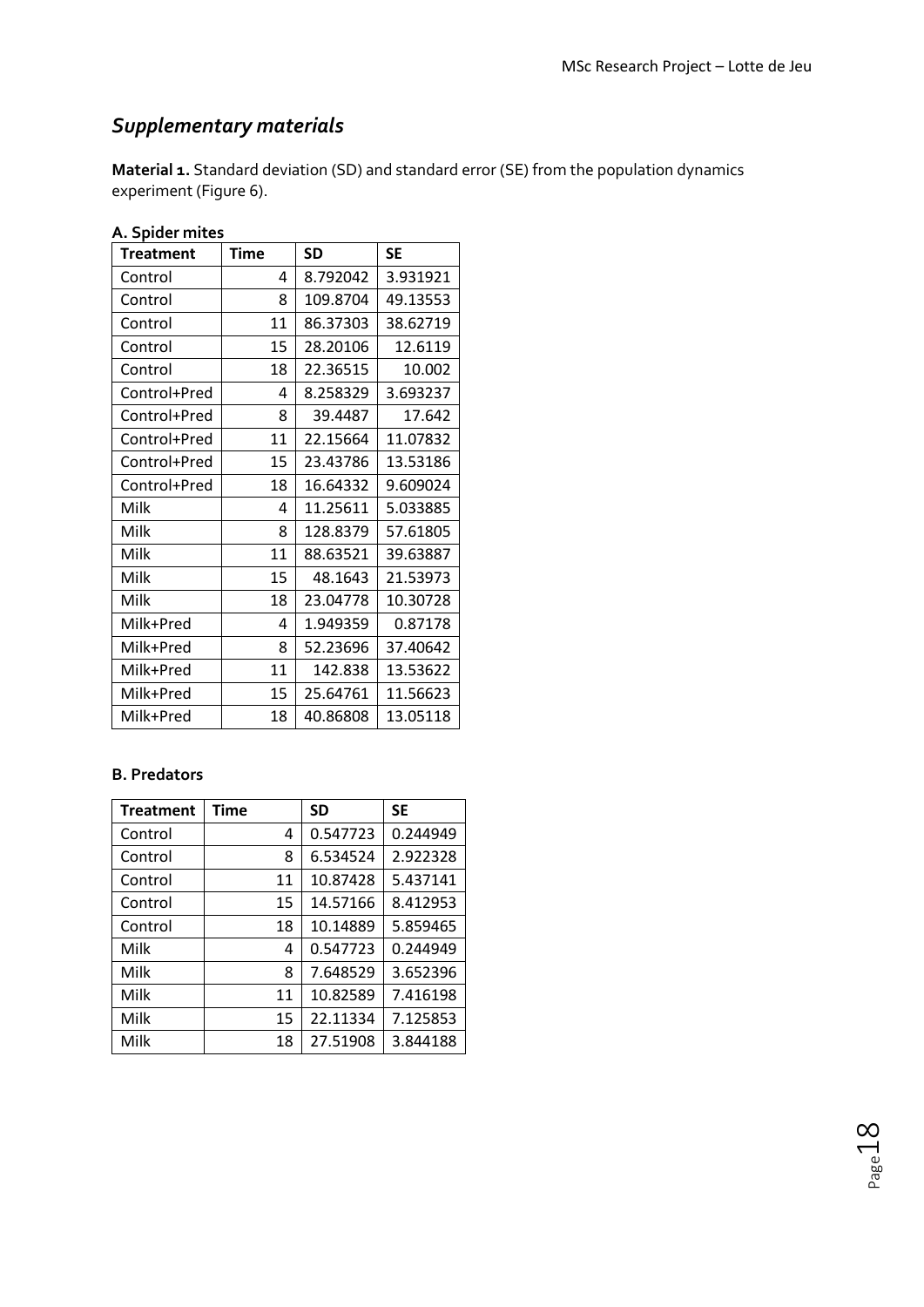# *Supplementary materials*

**Material 1.** Standard deviation (SD) and standard error (SE) from the population dynamics experiment (Figure 6).

| A. Spider mites  |             |           |           |  |
|------------------|-------------|-----------|-----------|--|
| <b>Treatment</b> | <b>Time</b> | <b>SD</b> | <b>SE</b> |  |
| Control          | 4           | 8.792042  | 3.931921  |  |
| Control          | 8           | 109.8704  | 49.13553  |  |
| Control          | 11          | 86.37303  | 38.62719  |  |
| Control          | 15          | 28.20106  | 12.6119   |  |
| Control          | 18          | 22.36515  | 10.002    |  |
| Control+Pred     | 4           | 8.258329  | 3.693237  |  |
| Control+Pred     | 8           | 39.4487   | 17.642    |  |
| Control+Pred     | 11          | 22.15664  | 11.07832  |  |
| Control+Pred     | 15          | 23.43786  | 13.53186  |  |
| Control+Pred     | 18          | 16.64332  | 9.609024  |  |
| Milk             | 4           | 11.25611  | 5.033885  |  |
| Milk             | 8           | 128.8379  | 57.61805  |  |
| Milk             | 11          | 88.63521  | 39.63887  |  |
| Milk             | 15          | 48.1643   | 21.53973  |  |
| Milk             | 18          | 23.04778  | 10.30728  |  |
| Milk+Pred        | 4           | 1.949359  | 0.87178   |  |
| Milk+Pred        | 8           | 52.23696  | 37.40642  |  |
| Milk+Pred        | 11          | 142.838   | 13.53622  |  |
| Milk+Pred        | 15          | 25.64761  | 11.56623  |  |
| Milk+Pred        | 18          | 40.86808  | 13.05118  |  |

# **A. Spider mites**

## **B. Predators**

| <b>Treatment</b> | Time | <b>SD</b> | <b>SE</b> |
|------------------|------|-----------|-----------|
| Control          | 4    | 0.547723  | 0.244949  |
| Control          | 8    | 6.534524  | 2.922328  |
| Control          | 11   | 10.87428  | 5.437141  |
| Control          | 15   | 14.57166  | 8.412953  |
| Control          | 18   | 10.14889  | 5.859465  |
| Milk             | 4    | 0.547723  | 0.244949  |
| Milk             | 8    | 7.648529  | 3.652396  |
| Milk             | 11   | 10.82589  | 7.416198  |
| Milk             | 15   | 22.11334  | 7.125853  |
| Milk             | 18   | 27.51908  | 3.844188  |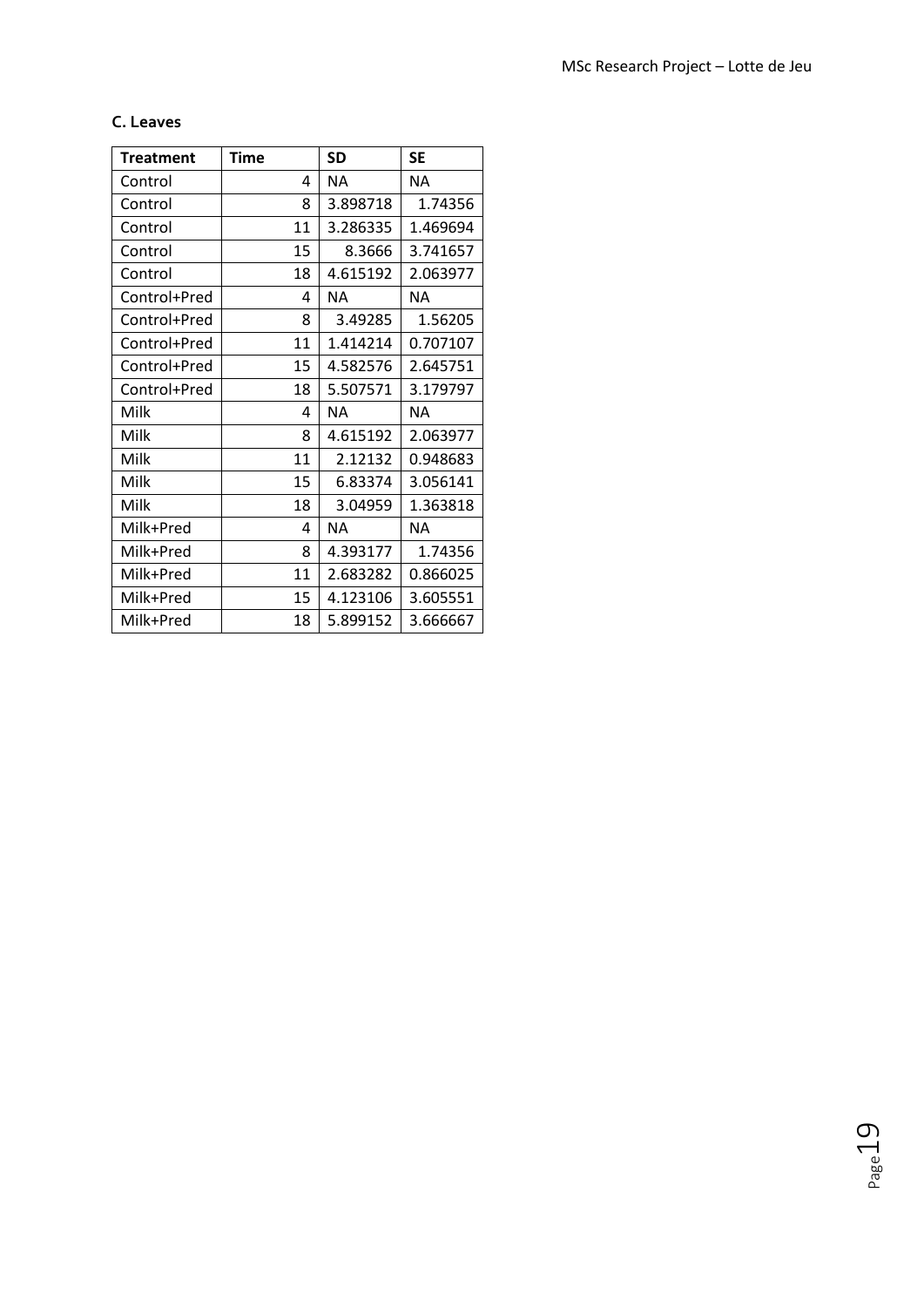## **C. Leaves**

| <b>Treatment</b> | Time | <b>SD</b> | <b>SE</b> |  |
|------------------|------|-----------|-----------|--|
| Control          | 4    | NА        | <b>NA</b> |  |
| Control          | 8    | 3.898718  | 1.74356   |  |
| Control          | 11   | 3.286335  | 1.469694  |  |
| Control          | 15   | 8.3666    | 3.741657  |  |
| Control          | 18   | 4.615192  | 2.063977  |  |
| Control+Pred     | 4    | <b>NA</b> | <b>NA</b> |  |
| Control+Pred     | 8    | 3.49285   | 1.56205   |  |
| Control+Pred     | 11   | 1.414214  | 0.707107  |  |
| Control+Pred     | 15   | 4.582576  | 2.645751  |  |
| Control+Pred     | 18   | 5.507571  | 3.179797  |  |
| Milk             | 4    | ΝA        | <b>NA</b> |  |
| Milk             | 8    | 4.615192  | 2.063977  |  |
| Milk             | 11   | 2.12132   | 0.948683  |  |
| Milk             | 15   | 6.83374   | 3.056141  |  |
| Milk             | 18   | 3.04959   | 1.363818  |  |
| Milk+Pred        | 4    | <b>NA</b> | <b>NA</b> |  |
| Milk+Pred        | 8    | 4.393177  | 1.74356   |  |
| Milk+Pred        | 11   | 2.683282  | 0.866025  |  |
| Milk+Pred        | 15   | 4.123106  | 3.605551  |  |
| Milk+Pred        | 18   | 5.899152  | 3.666667  |  |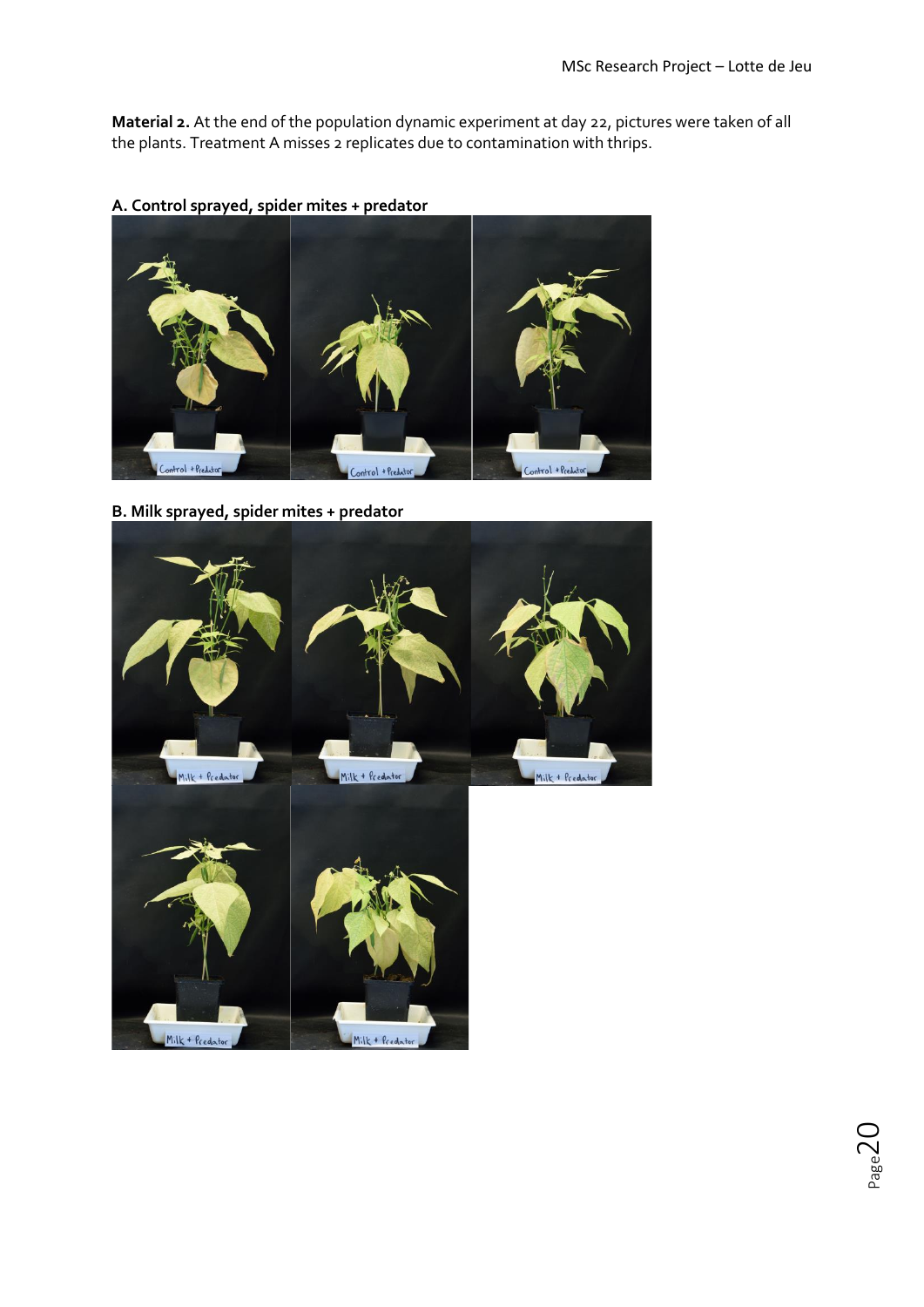**Material 2.** At the end of the population dynamic experiment at day 22, pictures were taken of all the plants. Treatment A misses 2 replicates due to contamination with thrips.



**A. Control sprayed, spider mites + predator**

**B. Milk sprayed, spider mites + predator**